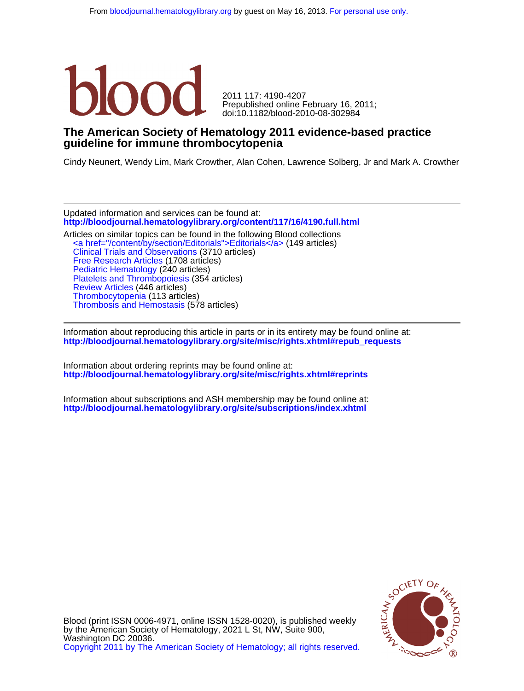

doi:10.1182/blood-2010-08-302984 Prepublished online February 16, 2011; 2011 117: 4190-4207

# **guideline for immune thrombocytopenia The American Society of Hematology 2011 evidence-based practice**

Cindy Neunert, Wendy Lim, Mark Crowther, Alan Cohen, Lawrence Solberg, Jr and Mark A. Crowther

**<http://bloodjournal.hematologylibrary.org/content/117/16/4190.full.html>** Updated information and services can be found at:

 [Thrombosis and Hemostasis](http://bloodjournal.hematologylibrary.org/cgi/collection/thrombosis_hemostasis) (578 articles) [Thrombocytopenia](http://bloodjournal.hematologylibrary.org/cgi/collection/thrombocytopenia) (113 articles) [Review Articles](http://bloodjournal.hematologylibrary.org/cgi/collection/review_articles) (446 articles) [Platelets and Thrombopoiesis](http://bloodjournal.hematologylibrary.org/cgi/collection/platelets_thrombopoiesis) (354 articles) [Pediatric Hematology](http://bloodjournal.hematologylibrary.org/cgi/collection/pediatric_hematology) (240 articles) [Free Research Articles](http://bloodjournal.hematologylibrary.org/cgi/collection/free_research_articles) (1708 articles) [Clinical Trials and Observations](http://bloodjournal.hematologylibrary.org/cgi/collection/clinical_trials_and_observations) (3710 articles) [<a href="/content/by/section/Editorials">Editorials</a>](http://bloodjournal.hematologylibrary.org/cgi/collection/signpost_editorials) (149 articles) Articles on similar topics can be found in the following Blood collections

**[http://bloodjournal.hematologylibrary.org/site/misc/rights.xhtml#repub\\_requests](http://bloodjournal.hematologylibrary.org/site/misc/rights.xhtml#repub_requests)** Information about reproducing this article in parts or in its entirety may be found online at:

**<http://bloodjournal.hematologylibrary.org/site/misc/rights.xhtml#reprints>** Information about ordering reprints may be found online at:

**<http://bloodjournal.hematologylibrary.org/site/subscriptions/index.xhtml>** Information about subscriptions and ASH membership may be found online at:



[Copyright 2011 by The American Society of Hematology; all rights reserved.](http://bloodjournal.hematologylibrary.org/subscriptions/ToS.dtl) Washington DC 20036. by the American Society of Hematology, 2021 L St, NW, Suite 900, Blood (print ISSN 0006-4971, online ISSN 1528-0020), is published weekly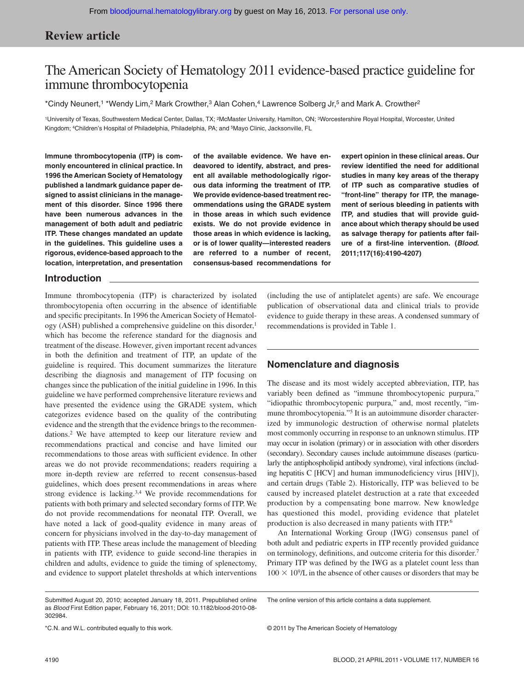# **Review article**

# The American Society of Hematology 2011 evidence-based practice guideline for immune thrombocytopenia

\*Cindy Neunert,<sup>1</sup> \*Wendy Lim,<sup>2</sup> Mark Crowther,<sup>3</sup> Alan Cohen,<sup>4</sup> Lawrence Solberg Jr,<sup>5</sup> and Mark A. Crowther<sup>2</sup>

1University of Texas, Southwestern Medical Center, Dallas, TX; 2McMaster University, Hamilton, ON; 3Worcestershire Royal Hospital, Worcester, United Kingdom; 4Children's Hospital of Philadelphia, Philadelphia, PA; and 5Mayo Clinic, Jacksonville, FL

**Immune thrombocytopenia (ITP) is commonly encountered in clinical practice. In 1996 the American Society of Hematology published a landmark guidance paper designed to assist clinicians in the management of this disorder. Since 1996 there have been numerous advances in the management of both adult and pediatric ITP. These changes mandated an update in the guidelines. This guideline uses a rigorous, evidence-based approach to the location, interpretation, and presentation**

**of the available evidence. We have endeavored to identify, abstract, and present all available methodologically rigorous data informing the treatment of ITP. We provide evidence-based treatment recommendations using the GRADE system in those areas in which such evidence exists. We do not provide evidence in those areas in which evidence is lacking, or is of lower quality—interested readers are referred to a number of recent, consensus-based recommendations for**

**expert opinion in these clinical areas. Our review identified the need for additional studies in many key areas of the therapy of ITP such as comparative studies of "front-line" therapy for ITP, the management of serious bleeding in patients with ITP, and studies that will provide guidance about which therapy should be used as salvage therapy for patients after failure of a first-line intervention. (***Blood***. 2011;117(16):4190-4207)**

## **Introduction**

Immune thrombocytopenia (ITP) is characterized by isolated thrombocytopenia often occurring in the absence of identifiable and specific precipitants. In 1996 the American Society of Hematology (ASH) published a comprehensive guideline on this disorder,<sup>1</sup> which has become the reference standard for the diagnosis and treatment of the disease. However, given important recent advances in both the definition and treatment of ITP, an update of the guideline is required. This document summarizes the literature describing the diagnosis and management of ITP focusing on changes since the publication of the initial guideline in 1996. In this guideline we have performed comprehensive literature reviews and have presented the evidence using the GRADE system, which categorizes evidence based on the quality of the contributing evidence and the strength that the evidence brings to the recommendations.2 We have attempted to keep our literature review and recommendations practical and concise and have limited our recommendations to those areas with sufficient evidence. In other areas we do not provide recommendations; readers requiring a more in-depth review are referred to recent consensus-based guidelines, which does present recommendations in areas where strong evidence is lacking.3,4 We provide recommendations for patients with both primary and selected secondary forms of ITP. We do not provide recommendations for neonatal ITP. Overall, we have noted a lack of good-quality evidence in many areas of concern for physicians involved in the day-to-day management of patients with ITP. These areas include the management of bleeding in patients with ITP, evidence to guide second-line therapies in children and adults, evidence to guide the timing of splenectomy, and evidence to support platelet thresholds at which interventions

(including the use of antiplatelet agents) are safe. We encourage publication of observational data and clinical trials to provide evidence to guide therapy in these areas. A condensed summary of recommendations is provided in Table 1.

## **Nomenclature and diagnosis**

The disease and its most widely accepted abbreviation, ITP, has variably been defined as "immune thrombocytopenic purpura," "idiopathic thrombocytopenic purpura," and, most recently, "immune thrombocytopenia."5 It is an autoimmune disorder characterized by immunologic destruction of otherwise normal platelets most commonly occurring in response to an unknown stimulus. ITP may occur in isolation (primary) or in association with other disorders (secondary). Secondary causes include autoimmune diseases (particularly the antiphospholipid antibody syndrome), viral infections (including hepatitis C [HCV] and human immunodeficiency virus [HIV]), and certain drugs (Table 2). Historically, ITP was believed to be caused by increased platelet destruction at a rate that exceeded production by a compensating bone marrow. New knowledge has questioned this model, providing evidence that platelet production is also decreased in many patients with ITP.6

An International Working Group (IWG) consensus panel of both adult and pediatric experts in ITP recently provided guidance on terminology, definitions, and outcome criteria for this disorder.7 Primary ITP was defined by the IWG as a platelet count less than  $100 \times 10^9$ /L in the absence of other causes or disorders that may be

\*C.N. and W.L. contributed equally to this work.

© 2011 by The American Society of Hematology

Submitted August 20, 2010; accepted January 18, 2011. Prepublished online as *Blood* First Edition paper, February 16, 2011; DOI: 10.1182/blood-2010-08- 302984.

The online version of this article contains a data supplement.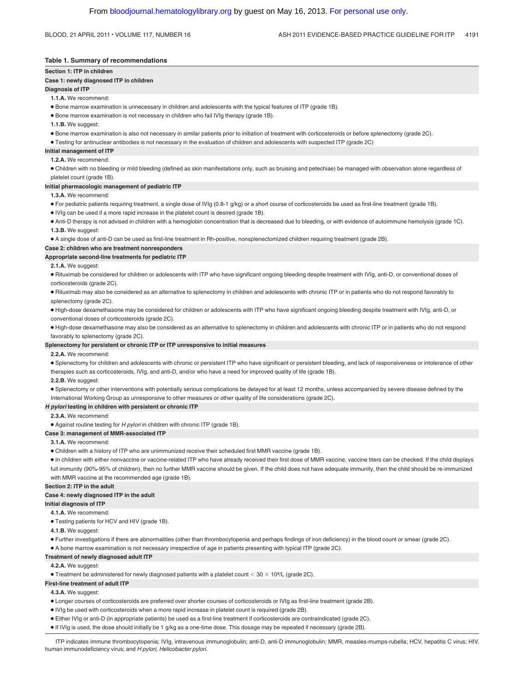## **Table 1. Summary of recommendations**

## **Section 1: ITP in children**

#### **Case 1: newly diagnosed ITP in children**

#### **Diagnosis of ITP**

- **1.1.A.** We recommend:
- Bone marrow examination is unnecessary in children and adolescents with the typical features of ITP (grade 1B).
- Bone marrow examination is not necessary in children who fail IVIg therapy (grade 1B).
- **1.1.B.** We suggest:
- Bone marrow examination is also not necessary in similar patients prior to initiation of treatment with corticosteroids or before splenectomy (grade 2C).
- Testing for antinuclear antibodies is not necessary in the evaluation of children and adolescents with suspected ITP (grade 2C)

#### **Initial management of ITP**

#### **1.2.A.** We recommend:

● Children with no bleeding or mild bleeding (defined as skin manifestations only, such as bruising and petechiae) be managed with observation alone regardless of platelet count (grade 1B).

#### **Initial pharmacologic management of pediatric ITP**

**1.3.A.** We recommend:

- For pediatric patients requiring treatment, a single dose of IVIg (0.8-1 g/kg) or a short course of corticosteroids be used as first-line treatment (grade 1B).
- IVIg can be used if a more rapid increase in the platelet count is desired (grade 1B).
- Anti-D therapy is not advised in children with a hemoglobin concentration that is decreased due to bleeding, or with evidence of autoimmune hemolysis (grade 1C).
- **1.3.B.** We suggest:
- A single dose of anti-D can be used as first-line treatment in Rh-positive, nonsplenectomized children requiring treatment (grade 2B).

## **Case 2: children who are treatment nonresponders**

**Appropriate second-line treatments for pediatric ITP**

## **2.1.A.** We suggest:

● Rituximab be considered for children or adolescents with ITP who have significant ongoing bleeding despite treatment with IVIg, anti-D, or conventional doses of corticosteroids (grade 2C).

● Rituximab may also be considered as an alternative to splenectomy in children and adolescents with chronic ITP or in patients who do not respond favorably to splenectomy (grade 2C).

● High-dose dexamethasone may be considered for children or adolescents with ITP who have significant ongoing bleeding despite treatment with IVIg, anti-D, or conventional doses of corticosteroids (grade 2C).

● High-dose dexamethasone may also be considered as an alternative to splenectomy in children and adolescents with chronic ITP or in patients who do not respond favorably to splenectomy (grade 2C).

#### **Splenectomy for persistent or chronic ITP or ITP unresponsive to initial measures**

#### **2.2.A.** We recommend:

● Splenectomy for children and adolescents with chronic or persistent ITP who have significant or persistent bleeding, and lack of responsiveness or intolerance of other therapies such as corticosteroids, IVIg, and anti-D, and/or who have a need for improved quality of life (grade 1B).

#### **2.2.B.** We suggest:

● Splenectomy or other interventions with potentially serious complications be delayed for at least 12 months, unless accompanied by severe disease defined by the International Working Group as unresponsive to other measures or other quality of life considerations (grade 2C).

#### *H pylori* **testing in children with persistent or chronic ITP**

#### **2.3.A.** We recommend:

● Against routine testing for *H pylori* in children with chronic ITP (grade 1B).

#### **Case 3: management of MMR-associated ITP**

**3.1.A.** We recommend:

● Children with a history of ITP who are unimmunized receive their scheduled first MMR vaccine (grade 1B).

● In children with either nonvaccine or vaccine-related ITP who have already received their first dose of MMR vaccine, vaccine titers can be checked. If the child displays full immunity (90%-95% of children), then no further MMR vaccine should be given. If the child does not have adequate immunity, then the child should be re-immunized with MMR vaccine at the recommended age (grade 1B).

#### **Section 2: ITP in the adult**

#### **Case 4: newly diagnosed ITP in the adult**

**Initial diagnosis of ITP**

## **4.1.A.** We recommend:

- Testing patients for HCV and HIV (grade 1B).
- **4.1.B.** We suggest:
- Further investigations if there are abnormalities (other than thrombocytopenia and perhaps findings of iron deficiency) in the blood count or smear (grade 2C).

● A bone marrow examination is not necessary irrespective of age in patients presenting with typical ITP (grade 2C).

#### **Treatment of newly diagnosed adult ITP**

#### **4.2.A.** We suggest:

• Treatment be administered for newly diagnosed patients with a platelet count  $<$  30  $\times$  10<sup>9</sup>/L (grade 2C).

#### **First-line treatment of adult ITP**

#### **4.3.A.** We suggest:

- Longer courses of corticosteroids are preferred over shorter courses of corticosteroids or IVIg as first-line treatment (grade 2B).
- IVIg be used with corticosteroids when a more rapid increase in platelet count is required (grade 2B).
- Either IVIg or anti-D (in appropriate patients) be used as a first-line treatment if corticosteroids are contraindicated (grade 2C).
- If IVIg is used, the dose should initially be 1 g/kg as a one-time dose. This dosage may be repeated if necessary (grade 2B).

ITP indicates immune thrombocytopenia; IVIg, intravenous immunoglobulin; anti-D, anti-D immunoglobulin; MMR, measles-mumps-rubella; HCV, hepatitis C virus; HIV, human immunodeficiency virus; and *H pylori*, *Helicobacter pylori*.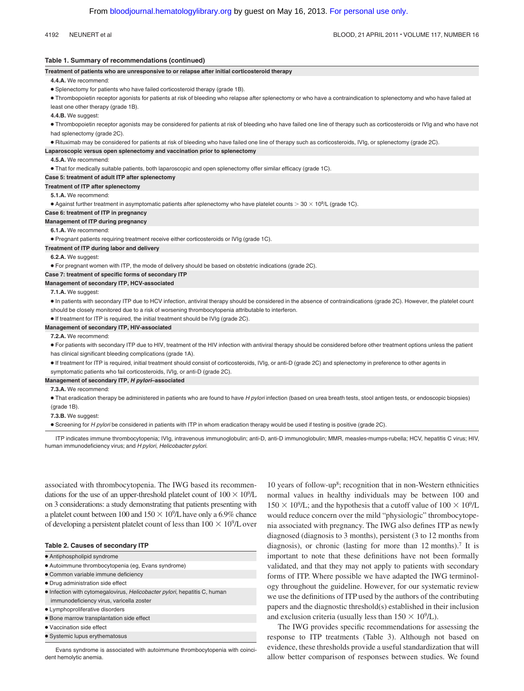4192 NEUNERT et al BLOOD, 21 APRIL 2011 • VOLUME 117, NUMBER 16

| Table 1. Summary of recommendations (continued)                                                                                                                                                   |
|---------------------------------------------------------------------------------------------------------------------------------------------------------------------------------------------------|
| Treatment of patients who are unresponsive to or relapse after initial corticosteroid therapy                                                                                                     |
| 4.4.A. We recommend:                                                                                                                                                                              |
| • Splenectomy for patients who have failed corticosteroid therapy (grade 1B).                                                                                                                     |
| • Thrombopoietin receptor agonists for patients at risk of bleeding who relapse after splenectomy or who have a contraindication to splenectomy and who have failed at                            |
| least one other therapy (grade 1B).                                                                                                                                                               |
| 4.4.B. We suggest:                                                                                                                                                                                |
| • Thrombopoietin receptor agonists may be considered for patients at risk of bleeding who have failed one line of therapy such as corticosteroids or IVIg and who have not                        |
| had splenectomy (grade 2C).                                                                                                                                                                       |
| . Rituximab may be considered for patients at risk of bleeding who have failed one line of therapy such as corticosteroids, IVIg, or splenectomy (grade 2C).                                      |
| Laparoscopic versus open splenectomy and vaccination prior to splenectomy                                                                                                                         |
| 4.5.A. We recommend:                                                                                                                                                                              |
| • That for medically suitable patients, both laparoscopic and open splenectomy offer similar efficacy (grade 1C).                                                                                 |
| Case 5: treatment of adult ITP after splenectomy                                                                                                                                                  |
| Treatment of ITP after splenectomy                                                                                                                                                                |
| 5.1.A. We recommend:                                                                                                                                                                              |
| • Against further treatment in asymptomatic patients after splenectomy who have platelet counts $>$ 30 $\times$ 10 <sup>9</sup> /L (grade 1C).                                                    |
| Case 6: treatment of ITP in pregnancy                                                                                                                                                             |
| <b>Management of ITP during pregnancy</b>                                                                                                                                                         |
| 6.1.A. We recommend:                                                                                                                                                                              |
| . Pregnant patients requiring treatment receive either corticosteroids or IVIg (grade 1C).                                                                                                        |
| Treatment of ITP during labor and delivery                                                                                                                                                        |
| 6.2.A. We suggest:                                                                                                                                                                                |
| • For pregnant women with ITP, the mode of delivery should be based on obstetric indications (grade 2C).                                                                                          |
| Case 7: treatment of specific forms of secondary ITP                                                                                                                                              |
| Management of secondary ITP, HCV-associated                                                                                                                                                       |
| 7.1.A. We suggest:                                                                                                                                                                                |
| • In patients with secondary ITP due to HCV infection, antiviral therapy should be considered in the absence of contraindications (grade 2C). However, the platelet count                         |
| should be closely monitored due to a risk of worsening thrombocytopenia attributable to interferon.                                                                                               |
| • If treatment for ITP is required, the initial treatment should be IVIg (grade 2C).                                                                                                              |
| Management of secondary ITP, HIV-associated                                                                                                                                                       |
| 7.2.A. We recommend:                                                                                                                                                                              |
| • For patients with secondary ITP due to HIV, treatment of the HIV infection with antiviral therapy should be considered before other treatment options unless the patient                        |
| has clinical significant bleeding complications (grade 1A).                                                                                                                                       |
| • If treatment for ITP is required, initial treatment should consist of corticosteroids, IVIg, or anti-D (grade 2C) and splenectomy in preference to other agents in                              |
| symptomatic patients who fail corticosteroids, IVIg, or anti-D (grade 2C).                                                                                                                        |
| Management of secondary ITP, H pylori-associated                                                                                                                                                  |
| 7.3.A. We recommend:                                                                                                                                                                              |
| • That eradication therapy be administered in patients who are found to have H pylori infection (based on urea breath tests, stool antigen tests, or endoscopic biopsies)<br>$(\text{grade }1B).$ |
| 7.3.B. We suggest:                                                                                                                                                                                |

● Screening for *H pylori* be considered in patients with ITP in whom eradication therapy would be used if testing is positive (grade 2C).

ITP indicates immune thrombocytopenia; IVIg, intravenous immunoglobulin; anti-D, anti-D immunoglobulin; MMR, measles-mumps-rubella; HCV, hepatitis C virus; HIV, human immunodeficiency virus; and *H pylori*, *Helicobacter pylori*.

associated with thrombocytopenia. The IWG based its recommendations for the use of an upper-threshold platelet count of  $100 \times 10^9$ /L on 3 considerations: a study demonstrating that patients presenting with a platelet count between 100 and  $150 \times 10^9$ /L have only a 6.9% chance of developing a persistent platelet count of less than  $100 \times 10^9$ /L over

### **Table 2. Causes of secondary ITP**

- Antiphospholipid syndrome
- Autoimmune thrombocytopenia (eg, Evans syndrome)
- Common variable immune deficiency
- Drug administration side effect
- Infection with cytomegalovirus, *Helicobacter pylori*, hepatitis C, human immunodeficiency virus, varicella zoster
- Lymphoproliferative disorders
- Bone marrow transplantation side effect
- Vaccination side effect
- Systemic lupus erythematosus

Evans syndrome is associated with autoimmune thrombocytopenia with coincident hemolytic anemia.

10 years of follow-up8; recognition that in non-Western ethnicities normal values in healthy individuals may be between 100 and  $150 \times 10^9$ /L; and the hypothesis that a cutoff value of  $100 \times 10^9$ /L would reduce concern over the mild "physiologic" thrombocytopenia associated with pregnancy. The IWG also defines ITP as newly diagnosed (diagnosis to 3 months), persistent (3 to 12 months from diagnosis), or chronic (lasting for more than  $12 \text{ months}$ ).<sup>7</sup> It is important to note that these definitions have not been formally validated, and that they may not apply to patients with secondary forms of ITP. Where possible we have adapted the IWG terminology throughout the guideline. However, for our systematic review we use the definitions of ITP used by the authors of the contributing papers and the diagnostic threshold(s) established in their inclusion and exclusion criteria (usually less than  $150 \times 10^9$ /L).

The IWG provides specific recommendations for assessing the response to ITP treatments (Table 3). Although not based on evidence, these thresholds provide a useful standardization that will allow better comparison of responses between studies. We found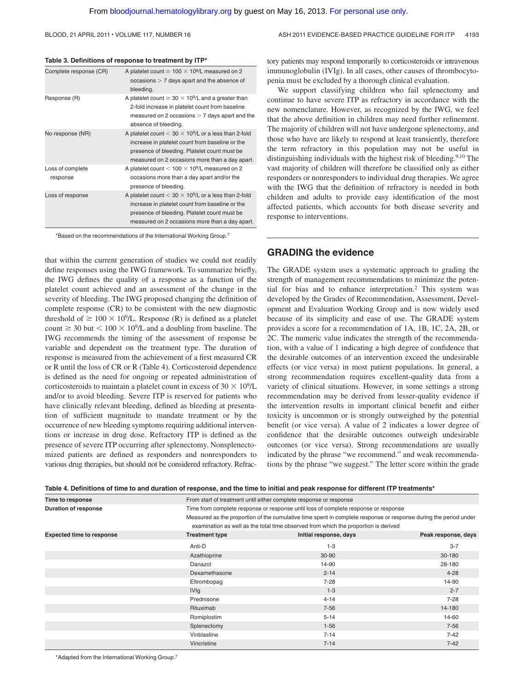#### **Table 3. Definitions of response to treatment by ITP\***

|                              | . <b>.</b><br>,                                                                                                                                                                                                                |
|------------------------------|--------------------------------------------------------------------------------------------------------------------------------------------------------------------------------------------------------------------------------|
| Complete response (CR)       | A platelet count $\geq 100 \times 10^9$ /L measured on 2<br>$occasions > 7$ days apart and the absence of<br>bleeding.                                                                                                         |
| Response (R)                 | A platelet count $\geq 30 \times 10^9$ /L and a greater than<br>2-fold increase in platelet count from baseline<br>measured on 2 occasions $>$ 7 days apart and the<br>absence of bleeding.                                    |
| No response (NR)             | A platelet count $<$ 30 $\times$ 10 <sup>9</sup> /L or a less than 2-fold<br>increase in platelet count from baseline or the<br>presence of bleeding. Platelet count must be<br>measured on 2 occasions more than a day apart. |
| Loss of complete<br>response | A platelet count $<$ 100 $\times$ 10 <sup>9</sup> /L measured on 2<br>occasions more than a day apart and/or the<br>presence of bleeding.                                                                                      |
| Loss of response             | A platelet count $<$ 30 $\times$ 10 <sup>9</sup> /L or a less than 2-fold<br>increase in platelet count from baseline or the<br>presence of bleeding. Platelet count must be<br>measured on 2 occasions more than a day apart. |

\*Based on the recommendations of the International Working Group.7

that within the current generation of studies we could not readily define responses using the IWG framework. To summarize briefly, the IWG defines the quality of a response as a function of the platelet count achieved and an assessment of the change in the severity of bleeding. The IWG proposed changing the definition of complete response (CR) to be consistent with the new diagnostic threshold of  $\geq 100 \times 10^9$ /L. Response (R) is defined as a platelet count  $\geq 30$  but  $\lt 100 \times 10^9$ /L and a doubling from baseline. The IWG recommends the timing of the assessment of response be variable and dependent on the treatment type. The duration of response is measured from the achievement of a first measured CR or R until the loss of CR or R (Table 4). Corticosteroid dependence is defined as the need for ongoing or repeated administration of corticosteroids to maintain a platelet count in excess of  $30 \times 10^9$ /L and/or to avoid bleeding. Severe ITP is reserved for patients who have clinically relevant bleeding, defined as bleeding at presentation of sufficient magnitude to mandate treatment or by the occurrence of new bleeding symptoms requiring additional interventions or increase in drug dose. Refractory ITP is defined as the presence of severe ITP occurring after splenectomy. Nonsplenectomized patients are defined as responders and nonresponders to various drug therapies, but should not be considered refractory. Refractory patients may respond temporarily to corticosteroids or intravenous immunoglobulin (IVIg). In all cases, other causes of thrombocytopenia must be excluded by a thorough clinical evaluation.

We support classifying children who fail splenectomy and continue to have severe ITP as refractory in accordance with the new nomenclature. However, as recognized by the IWG, we feel that the above definition in children may need further refinement. The majority of children will not have undergone splenectomy, and those who have are likely to respond at least transiently, therefore the term refractory in this population may not be useful in distinguishing individuals with the highest risk of bleeding.<sup>9,10</sup> The vast majority of children will therefore be classified only as either responders or nonresponders to individual drug therapies. We agree with the IWG that the definition of refractory is needed in both children and adults to provide easy identification of the most affected patients, which accounts for both disease severity and response to interventions.

## **GRADING the evidence**

The GRADE system uses a systematic approach to grading the strength of management recommendations to minimize the potential for bias and to enhance interpretation.2 This system was developed by the Grades of Recommendation, Assessment, Development and Evaluation Working Group and is now widely used because of its simplicity and ease of use. The GRADE system provides a score for a recommendation of 1A, 1B, 1C, 2A, 2B, or 2C. The numeric value indicates the strength of the recommendation, with a value of 1 indicating a high degree of confidence that the desirable outcomes of an intervention exceed the undesirable effects (or vice versa) in most patient populations. In general, a strong recommendation requires excellent-quality data from a variety of clinical situations. However, in some settings a strong recommendation may be derived from lesser-quality evidence if the intervention results in important clinical benefit and either toxicity is uncommon or is strongly outweighed by the potential benefit (or vice versa). A value of 2 indicates a lower degree of confidence that the desirable outcomes outweigh undesirable outcomes (or vice versa). Strong recommendations are usually indicated by the phrase "we recommend." and weak recommendations by the phrase "we suggest." The letter score within the grade

|  |  | Table 4. Definitions of time to and duration of response, and the time to initial and peak response for different ITP treatments* |
|--|--|-----------------------------------------------------------------------------------------------------------------------------------|
|--|--|-----------------------------------------------------------------------------------------------------------------------------------|

| Time to response                 | From start of treatment until either complete response or response                                                                                                                                                                                                                             |                        |                     |  |
|----------------------------------|------------------------------------------------------------------------------------------------------------------------------------------------------------------------------------------------------------------------------------------------------------------------------------------------|------------------------|---------------------|--|
| <b>Duration of response</b>      | Time from complete response or response until loss of complete response or response<br>Measured as the proportion of the cumulative time spent in complete response or response during the period under<br>examination as well as the total time observed from which the proportion is derived |                        |                     |  |
|                                  |                                                                                                                                                                                                                                                                                                |                        |                     |  |
|                                  |                                                                                                                                                                                                                                                                                                |                        |                     |  |
| <b>Expected time to response</b> | <b>Treatment type</b>                                                                                                                                                                                                                                                                          | Initial response, days | Peak response, days |  |
|                                  | Anti-D                                                                                                                                                                                                                                                                                         | $1 - 3$                | $3 - 7$             |  |
|                                  | Azathioprine                                                                                                                                                                                                                                                                                   | 30-90                  | 30-180              |  |
|                                  | Danazol                                                                                                                                                                                                                                                                                        | 14-90                  | 28-180              |  |
|                                  | Dexamethasone                                                                                                                                                                                                                                                                                  | $2 - 14$               | $4 - 28$            |  |
|                                  | Eltrombopag                                                                                                                                                                                                                                                                                    | $7 - 28$               | 14-90               |  |
|                                  | <b>IVIq</b>                                                                                                                                                                                                                                                                                    | $1 - 3$                | $2 - 7$             |  |
|                                  | Prednisone                                                                                                                                                                                                                                                                                     | $4 - 14$               | $7 - 28$            |  |
|                                  | Rituximab                                                                                                                                                                                                                                                                                      | $7 - 56$               | 14-180              |  |
|                                  | Romiplostim                                                                                                                                                                                                                                                                                    | $5 - 14$               | 14-60               |  |
|                                  | Splenectomy                                                                                                                                                                                                                                                                                    | $1 - 56$               | $7 - 56$            |  |
|                                  | Vinblastine                                                                                                                                                                                                                                                                                    | $7 - 14$               | $7 - 42$            |  |
|                                  | Vincristine                                                                                                                                                                                                                                                                                    | $7 - 14$               | $7 - 42$            |  |

\*Adapted from the International Working Group.7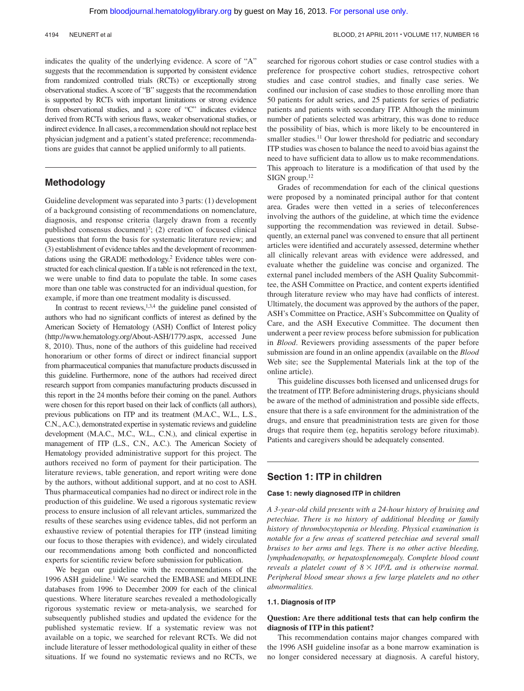indicates the quality of the underlying evidence. A score of "A" suggests that the recommendation is supported by consistent evidence from randomized controlled trials (RCTs) or exceptionally strong observational studies. A score of "B" suggests that the recommendation is supported by RCTs with important limitations or strong evidence from observational studies, and a score of "C" indicates evidence derived from RCTs with serious flaws, weaker observational studies, or indirect evidence. In all cases, a recommendation should not replace best physician judgment and a patient's stated preference; recommendations are guides that cannot be applied uniformly to all patients.

## **Methodology**

Guideline development was separated into 3 parts: (1) development of a background consisting of recommendations on nomenclature, diagnosis, and response criteria (largely drawn from a recently published consensus document)<sup>7</sup>; (2) creation of focused clinical questions that form the basis for systematic literature review; and (3) establishment of evidence tables and the development of recommendations using the GRADE methodology.2 Evidence tables were constructed for each clinical question. If a table is not referenced in the text, we were unable to find data to populate the table. In some cases more than one table was constructed for an individual question, for example, if more than one treatment modality is discussed.

In contrast to recent reviews, $1,3,4$  the guideline panel consisted of authors who had no significant conflicts of interest as defined by the American Society of Hematology (ASH) Conflict of Interest policy (http://www.hematology.org/About-ASH/1779.aspx, accessed June 8, 2010). Thus, none of the authors of this guideline had received honorarium or other forms of direct or indirect financial support from pharmaceutical companies that manufacture products discussed in this guideline. Furthermore, none of the authors had received direct research support from companies manufacturing products discussed in this report in the 24 months before their coming on the panel. Authors were chosen for this report based on their lack of conflicts (all authors), previous publications on ITP and its treatment (M.A.C., W.L., L.S., C.N., A.C.), demonstrated expertise in systematic reviews and guideline development (M.A.C., M.C., W.L., C.N.), and clinical expertise in management of ITP (L.S., C.N., A.C.). The American Society of Hematology provided administrative support for this project. The authors received no form of payment for their participation. The literature reviews, table generation, and report writing were done by the authors, without additional support, and at no cost to ASH. Thus pharmaceutical companies had no direct or indirect role in the production of this guideline. We used a rigorous systematic review process to ensure inclusion of all relevant articles, summarized the results of these searches using evidence tables, did not perform an exhaustive review of potential therapies for ITP (instead limiting our focus to those therapies with evidence), and widely circulated our recommendations among both conflicted and nonconflicted experts for scientific review before submission for publication.

We began our guideline with the recommendations of the 1996 ASH guideline.<sup>1</sup> We searched the EMBASE and MEDLINE databases from 1996 to December 2009 for each of the clinical questions. Where literature searches revealed a methodologically rigorous systematic review or meta-analysis, we searched for subsequently published studies and updated the evidence for the published systematic review. If a systematic review was not available on a topic, we searched for relevant RCTs. We did not include literature of lesser methodological quality in either of these situations. If we found no systematic reviews and no RCTs, we

searched for rigorous cohort studies or case control studies with a preference for prospective cohort studies, retrospective cohort studies and case control studies, and finally case series. We confined our inclusion of case studies to those enrolling more than 50 patients for adult series, and 25 patients for series of pediatric patients and patients with secondary ITP. Although the minimum number of patients selected was arbitrary, this was done to reduce the possibility of bias, which is more likely to be encountered in smaller studies.<sup>11</sup> Our lower threshold for pediatric and secondary ITP studies was chosen to balance the need to avoid bias against the need to have sufficient data to allow us to make recommendations. This approach to literature is a modification of that used by the SIGN group.<sup>12</sup>

Grades of recommendation for each of the clinical questions were proposed by a nominated principal author for that content area. Grades were then vetted in a series of teleconferences involving the authors of the guideline, at which time the evidence supporting the recommendation was reviewed in detail. Subsequently, an external panel was convened to ensure that all pertinent articles were identified and accurately assessed, determine whether all clinically relevant areas with evidence were addressed, and evaluate whether the guideline was concise and organized. The external panel included members of the ASH Quality Subcommittee, the ASH Committee on Practice, and content experts identified through literature review who may have had conflicts of interest. Ultimately, the document was approved by the authors of the paper, ASH's Committee on Practice, ASH's Subcommittee on Quality of Care, and the ASH Executive Committee. The document then underwent a peer review process before submission for publication in *Blood*. Reviewers providing assessments of the paper before submission are found in an online appendix (available on the *Blood* Web site; see the Supplemental Materials link at the top of the online article).

This guideline discusses both licensed and unlicensed drugs for the treatment of ITP. Before administering drugs, physicians should be aware of the method of administration and possible side effects, ensure that there is a safe environment for the administration of the drugs, and ensure that preadministration tests are given for those drugs that require them (eg, hepatitis serology before rituximab). Patients and caregivers should be adequately consented.

## **Section 1: ITP in children**

## **Case 1: newly diagnosed ITP in children**

*A 3-year-old child presents with a 24-hour history of bruising and petechiae. There is no history of additional bleeding or family history of thrombocytopenia or bleeding. Physical examination is notable for a few areas of scattered petechiae and several small bruises to her arms and legs. There is no other active bleeding, lymphadenopathy, or hepatosplenomegaly. Complete blood count reveals a platelet count of*  $8 \times 10^9$ */L and is otherwise normal. Peripheral blood smear shows a few large platelets and no other abnormalities.*

## **1.1. Diagnosis of ITP**

## **Question: Are there additional tests that can help confirm the diagnosis of ITP in this patient?**

This recommendation contains major changes compared with the 1996 ASH guideline insofar as a bone marrow examination is no longer considered necessary at diagnosis. A careful history,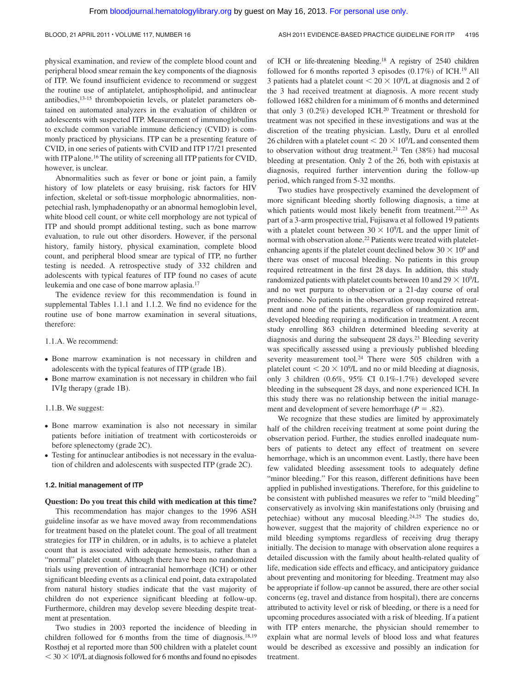physical examination, and review of the complete blood count and peripheral blood smear remain the key components of the diagnosis of ITP. We found insufficient evidence to recommend or suggest the routine use of antiplatelet, antiphospholipid, and antinuclear antibodies,13-15 thrombopoietin levels, or platelet parameters obtained on automated analyzers in the evaluation of children or adolescents with suspected ITP. Measurement of immunoglobulins to exclude common variable immune deficiency (CVID) is commonly practiced by physicians. ITP can be a presenting feature of CVID, in one series of patients with CVID and ITP 17/21 presented with ITP alone.<sup>16</sup> The utility of screening all ITP patients for CVID, however, is unclear.

Abnormalities such as fever or bone or joint pain, a family history of low platelets or easy bruising, risk factors for HIV infection, skeletal or soft-tissue morphologic abnormalities, nonpetechial rash, lymphadenopathy or an abnormal hemoglobin level, white blood cell count, or white cell morphology are not typical of ITP and should prompt additional testing, such as bone marrow evaluation, to rule out other disorders. However, if the personal history, family history, physical examination, complete blood count, and peripheral blood smear are typical of ITP, no further testing is needed. A retrospective study of 332 children and adolescents with typical features of ITP found no cases of acute leukemia and one case of bone marrow aplasia.17

The evidence review for this recommendation is found in supplemental Tables 1.1.1 and 1.1.2. We find no evidence for the routine use of bone marrow examination in several situations, therefore:

1.1.A. We recommend:

- Bone marrow examination is not necessary in children and adolescents with the typical features of ITP (grade 1B).
- Bone marrow examination is not necessary in children who fail IVIg therapy (grade 1B).

## 1.1.B. We suggest:

- Bone marrow examination is also not necessary in similar patients before initiation of treatment with corticosteroids or before splenectomy (grade 2C).
- Testing for antinuclear antibodies is not necessary in the evaluation of children and adolescents with suspected ITP (grade 2C).

#### **1.2. Initial management of ITP**

#### **Question: Do you treat this child with medication at this time?**

This recommendation has major changes to the 1996 ASH guideline insofar as we have moved away from recommendations for treatment based on the platelet count. The goal of all treatment strategies for ITP in children, or in adults, is to achieve a platelet count that is associated with adequate hemostasis, rather than a "normal" platelet count. Although there have been no randomized trials using prevention of intracranial hemorrhage (ICH) or other significant bleeding events as a clinical end point, data extrapolated from natural history studies indicate that the vast majority of children do not experience significant bleeding at follow-up. Furthermore, children may develop severe bleeding despite treatment at presentation.

Two studies in 2003 reported the incidence of bleeding in children followed for 6 months from the time of diagnosis.<sup>18,19</sup> Rosthøj et al reported more than 500 children with a platelet count  $<$  30  $\times$  10<sup>9</sup>/L at diagnosis followed for 6 months and found no episodes of ICH or life-threatening bleeding.18 A registry of 2540 children followed for 6 months reported 3 episodes  $(0.17\%)$  of ICH.<sup>19</sup> All 3 patients had a platelet count  $< 20 \times 10^9$ /L at diagnosis and 2 of the 3 had received treatment at diagnosis. A more recent study followed 1682 children for a minimum of 6 months and determined that only 3 (0.2%) developed ICH.20 Treatment or threshold for treatment was not specified in these investigations and was at the discretion of the treating physician. Lastly, Duru et al enrolled 26 children with a platelet count  $< 20 \times 10^9$ /L and consented them to observation without drug treatment.<sup>21</sup> Ten  $(38%)$  had mucosal bleeding at presentation. Only 2 of the 26, both with epistaxis at diagnosis, required further intervention during the follow-up period, which ranged from 5-32 months.

Two studies have prospectively examined the development of more significant bleeding shortly following diagnosis, a time at which patients would most likely benefit from treatment.<sup>22,23</sup> As part of a 3-arm prospective trial, Fujisawa et al followed 19 patients with a platelet count between  $30 \times 10^9$ /L and the upper limit of normal with observation alone.<sup>22</sup> Patients were treated with plateletenhancing agents if the platelet count declined below  $30 \times 10^9$  and there was onset of mucosal bleeding. No patients in this group required retreatment in the first 28 days. In addition, this study randomized patients with platelet counts between 10 and  $29 \times 10^9$ /L and no wet purpura to observation or a 21-day course of oral prednisone. No patients in the observation group required retreatment and none of the patients, regardless of randomization arm, developed bleeding requiring a modification in treatment. A recent study enrolling 863 children determined bleeding severity at diagnosis and during the subsequent 28 days.23 Bleeding severity was specifically assessed using a previously published bleeding severity measurement tool.<sup>24</sup> There were 505 children with a platelet count  $\leq 20 \times 10^9$ /L and no or mild bleeding at diagnosis, only 3 children (0.6%, 95% CI 0.1%-1.7%) developed severe bleeding in the subsequent 28 days, and none experienced ICH. In this study there was no relationship between the initial management and development of severe hemorrhage  $(P = .82)$ .

We recognize that these studies are limited by approximately half of the children receiving treatment at some point during the observation period. Further, the studies enrolled inadequate numbers of patients to detect any effect of treatment on severe hemorrhage, which is an uncommon event. Lastly, there have been few validated bleeding assessment tools to adequately define "minor bleeding." For this reason, different definitions have been applied in published investigations. Therefore, for this guideline to be consistent with published measures we refer to "mild bleeding" conservatively as involving skin manifestations only (bruising and petechiae) without any mucosal bleeding.24,25 The studies do, however, suggest that the majority of children experience no or mild bleeding symptoms regardless of receiving drug therapy initially. The decision to manage with observation alone requires a detailed discussion with the family about health-related quality of life, medication side effects and efficacy, and anticipatory guidance about preventing and monitoring for bleeding. Treatment may also be appropriate if follow-up cannot be assured, there are other social concerns (eg, travel and distance from hospital), there are concerns attributed to activity level or risk of bleeding, or there is a need for upcoming procedures associated with a risk of bleeding. If a patient with ITP enters menarche, the physician should remember to explain what are normal levels of blood loss and what features would be described as excessive and possibly an indication for treatment.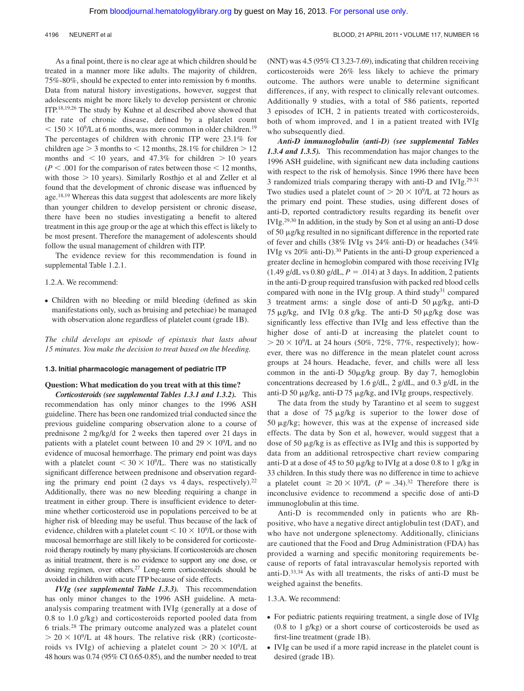As a final point, there is no clear age at which children should be treated in a manner more like adults. The majority of children, 75%-80%, should be expected to enter into remission by 6 months. Data from natural history investigations, however, suggest that adolescents might be more likely to develop persistent or chronic ITP.18,19,26 The study by Kuhne et al described above showed that the rate of chronic disease, defined by a platelet count  $<$  150  $\times$  10<sup>9</sup>/L at 6 months, was more common in older children.<sup>19</sup> The percentages of children with chronic ITP were 23.1% for children age  $> 3$  months to  $< 12$  months, 28.1% for children  $> 12$ months and  $\lt 10$  years, and 47.3% for children  $> 10$  years  $(P < .001$  for the comparison of rates between those  $\leq 12$  months, with those  $> 10$  years). Similarly Rosthjo et al and Zeller et al found that the development of chronic disease was influenced by age.18,19 Whereas this data suggest that adolescents are more likely than younger children to develop persistent or chronic disease, there have been no studies investigating a benefit to altered treatment in this age group or the age at which this effect is likely to be most present. Therefore the management of adolescents should follow the usual management of children with ITP.

The evidence review for this recommendation is found in supplemental Table 1.2.1.

## 1.2.A. We recommend:

• Children with no bleeding or mild bleeding (defined as skin manifestations only, such as bruising and petechiae) be managed with observation alone regardless of platelet count (grade 1B).

*The child develops an episode of epistaxis that lasts about 15 minutes. You make the decision to treat based on the bleeding.*

## **1.3. Initial pharmacologic management of pediatric ITP**

## **Question: What medication do you treat with at this time?**

*Corticosteroids (see supplemental Tables 1.3.1 and 1.3.2).* This recommendation has only minor changes to the 1996 ASH guideline. There has been one randomized trial conducted since the previous guideline comparing observation alone to a course of prednisone 2 mg/kg/d for 2 weeks then tapered over 21 days in patients with a platelet count between 10 and 29  $\times$  10<sup>9</sup>/L and no evidence of mucosal hemorrhage. The primary end point was days with a platelet count  $\leq 30 \times 10^9$ /L. There was no statistically significant difference between prednisone and observation regarding the primary end point  $(2 \text{ days vs } 4 \text{ days, respectively}).^{22}$ Additionally, there was no new bleeding requiring a change in treatment in either group. There is insufficient evidence to determine whether corticosteroid use in populations perceived to be at higher risk of bleeding may be useful. Thus because of the lack of evidence, children with a platelet count  $\leq 10 \times 10^9$ /L or those with mucosal hemorrhage are still likely to be considered for corticosteroid therapy routinely by many physicians. If corticosteroids are chosen as initial treatment, there is no evidence to support any one dose, or dosing regimen, over others.27 Long-term corticosteroids should be avoided in children with acute ITP because of side effects.

*IVIg (see supplemental Table 1.3.3).* This recommendation has only minor changes to the 1996 ASH guideline. A metaanalysis comparing treatment with IVIg (generally at a dose of 0.8 to 1.0 g/kg) and corticosteroids reported pooled data from 6 trials.28 The primary outcome analyzed was a platelet count  $>$  20  $\times$  10<sup>9</sup>/L at 48 hours. The relative risk (RR) (corticosteroids vs IVIg) of achieving a platelet count  $> 20 \times 10^9$ /L at 48 hours was 0.74 (95% CI 0.65-0.85), and the number needed to treat (NNT) was 4.5 (95% CI 3.23-7.69), indicating that children receiving corticosteroids were 26% less likely to achieve the primary outcome. The authors were unable to determine significant differences, if any, with respect to clinically relevant outcomes. Additionally 9 studies, with a total of 586 patients, reported 3 episodes of ICH, 2 in patients treated with corticosteroids, both of whom improved, and 1 in a patient treated with IVIg who subsequently died.

*Anti-D immunoglobulin (anti-D) (see supplemental Tables 1.3.4 and 1.3.5).* This recommendation has major changes to the 1996 ASH guideline, with significant new data including cautions with respect to the risk of hemolysis. Since 1996 there have been 3 randomized trials comparing therapy with anti-D and IVIg.29-31 Two studies used a platelet count of  $> 20 \times 10^9$ /L at 72 hours as the primary end point. These studies, using different doses of anti-D, reported contradictory results regarding its benefit over IVIg.29,30 In addition, in the study by Son et al using an anti-D dose of 50  $\mu$ g/kg resulted in no significant difference in the reported rate of fever and chills (38% IVIg vs 24% anti-D) or headaches (34% IVIg vs 20% anti-D).30 Patients in the anti-D group experienced a greater decline in hemoglobin compared with those receiving IVIg  $(1.49 \text{ g/dL vs } 0.80 \text{ g/dL}, P = .014)$  at 3 days. In addition, 2 patients in the anti-D group required transfusion with packed red blood cells compared with none in the IVIg group. A third study<sup>31</sup> compared 3 treatment arms: a single dose of anti-D  $50 \mu g/kg$ , anti-D 75  $\mu$ g/kg, and IVIg 0.8 g/kg. The anti-D 50  $\mu$ g/kg dose was significantly less effective than IVIg and less effective than the higher dose of anti-D at increasing the platelet count to  $> 20 \times 10^9$ /L at 24 hours (50%, 72%, 77%, respectively); however, there was no difference in the mean platelet count across groups at 24 hours. Headache, fever, and chills were all less common in the anti-D  $50\mu$ g/kg group. By day 7, hemoglobin concentrations decreased by 1.6 g/dL, 2 g/dL, and 0.3 g/dL in the anti-D 50  $\mu$ g/kg, anti-D 75  $\mu$ g/kg, and IVIg groups, respectively.

The data from the study by Tarantino et al seem to suggest that a dose of  $75 \mu g/kg$  is superior to the lower dose of  $50 \mu g/kg$ ; however, this was at the expense of increased side effects. The data by Son et al, however, would suggest that a dose of 50  $\mu$ g/kg is as effective as IVIg and this is supported by data from an additional retrospective chart review comparing anti-D at a dose of 45 to 50  $\mu$ g/kg to IVIg at a dose 0.8 to 1 g/kg in 33 children. In this study there was no difference in time to achieve a platelet count  $\geq 20 \times 10^9$ /L (*P* = .34).<sup>32</sup> Therefore there is inconclusive evidence to recommend a specific dose of anti-D immunoglobulin at this time.

Anti-D is recommended only in patients who are Rhpositive, who have a negative direct antiglobulin test (DAT), and who have not undergone splenectomy. Additionally, clinicians are cautioned that the Food and Drug Administration (FDA) has provided a warning and specific monitoring requirements because of reports of fatal intravascular hemolysis reported with anti-D.33,34 As with all treatments, the risks of anti-D must be weighed against the benefits.

## 1.3.A. We recommend:

- For pediatric patients requiring treatment, a single dose of IVIg (0.8 to 1 g/kg) or a short course of corticosteroids be used as first-line treatment (grade 1B).
- IVIg can be used if a more rapid increase in the platelet count is desired (grade 1B).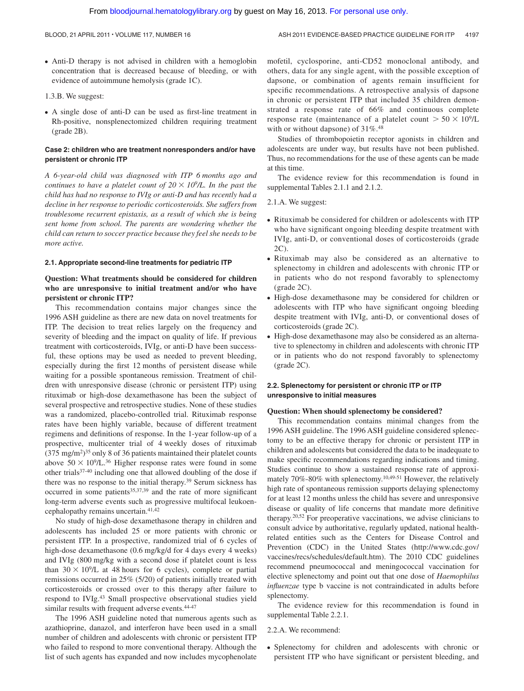• Anti-D therapy is not advised in children with a hemoglobin concentration that is decreased because of bleeding, or with evidence of autoimmune hemolysis (grade 1C).

1.3.B. We suggest:

● A single dose of anti-D can be used as first-line treatment in Rh-positive, nonsplenectomized children requiring treatment (grade 2B).

## **Case 2: children who are treatment nonresponders and/or have persistent or chronic ITP**

*A 6-year-old child was diagnosed with ITP 6 months ago and continues to have a platelet count of*  $20 \times 10^9$ */L. In the past the child has had no response to IVIg or anti-D and has recently had a decline in her response to periodic corticosteroids. She suffers from troublesome recurrent epistaxis, as a result of which she is being sent home from school. The parents are wondering whether the child can return to soccer practice because they feel she needs to be more active.*

## **2.1. Appropriate second-line treatments for pediatric ITP**

## **Question: What treatments should be considered for children who are unresponsive to initial treatment and/or who have persistent or chronic ITP?**

This recommendation contains major changes since the 1996 ASH guideline as there are new data on novel treatments for ITP. The decision to treat relies largely on the frequency and severity of bleeding and the impact on quality of life. If previous treatment with corticosteroids, IVIg, or anti-D have been successful, these options may be used as needed to prevent bleeding, especially during the first 12 months of persistent disease while waiting for a possible spontaneous remission. Treatment of children with unresponsive disease (chronic or persistent ITP) using rituximab or high-dose dexamethasone has been the subject of several prospective and retrospective studies. None of these studies was a randomized, placebo-controlled trial. Rituximab response rates have been highly variable, because of different treatment regimens and definitions of response. In the 1-year follow-up of a prospective, multicenter trial of 4 weekly doses of rituximab  $(375 \text{ mg/m}^2)^{35}$  only 8 of 36 patients maintained their platelet counts above  $50 \times 10^9$ /L.<sup>36</sup> Higher response rates were found in some other trials37-40 including one that allowed doubling of the dose if there was no response to the initial therapy.39 Serum sickness has occurred in some patients<sup>35,37,39</sup> and the rate of more significant long-term adverse events such as progressive multifocal leukoencephalopathy remains uncertain.41,42

No study of high-dose dexamethasone therapy in children and adolescents has included 25 or more patients with chronic or persistent ITP. In a prospective, randomized trial of 6 cycles of high-dose dexamethasone (0.6 mg/kg/d for 4 days every 4 weeks) and IVIg (800 mg/kg with a second dose if platelet count is less than  $30 \times 10^9$ /L at 48 hours for 6 cycles), complete or partial remissions occurred in 25% (5/20) of patients initially treated with corticosteroids or crossed over to this therapy after failure to respond to IVIg.43 Small prospective observational studies yield similar results with frequent adverse events.<sup>44-47</sup>

The 1996 ASH guideline noted that numerous agents such as azathioprine, danazol, and interferon have been used in a small number of children and adolescents with chronic or persistent ITP who failed to respond to more conventional therapy. Although the list of such agents has expanded and now includes mycophenolate

mofetil, cyclosporine, anti-CD52 monoclonal antibody, and others, data for any single agent, with the possible exception of dapsone, or combination of agents remain insufficient for specific recommendations. A retrospective analysis of dapsone in chronic or persistent ITP that included 35 children demonstrated a response rate of 66% and continuous complete response rate (maintenance of a platelet count  $> 50 \times 10^9$ /L with or without dapsone) of  $31\%$ .<sup>48</sup>

Studies of thrombopoietin receptor agonists in children and adolescents are under way, but results have not been published. Thus, no recommendations for the use of these agents can be made at this time.

The evidence review for this recommendation is found in supplemental Tables 2.1.1 and 2.1.2.

2.1.A. We suggest:

- Rituximab be considered for children or adolescents with ITP who have significant ongoing bleeding despite treatment with IVIg, anti-D, or conventional doses of corticosteroids (grade 2C).
- Rituximab may also be considered as an alternative to splenectomy in children and adolescents with chronic ITP or in patients who do not respond favorably to splenectomy (grade 2C).
- High-dose dexamethasone may be considered for children or adolescents with ITP who have significant ongoing bleeding despite treatment with IVIg, anti-D, or conventional doses of corticosteroids (grade 2C).
- High-dose dexamethasone may also be considered as an alternative to splenectomy in children and adolescents with chronic ITP or in patients who do not respond favorably to splenectomy (grade 2C).

## **2.2. Splenectomy for persistent or chronic ITP or ITP unresponsive to initial measures**

## **Question: When should splenectomy be considered?**

This recommendation contains minimal changes from the 1996 ASH guideline. The 1996 ASH guideline considered splenectomy to be an effective therapy for chronic or persistent ITP in children and adolescents but considered the data to be inadequate to make specific recommendations regarding indications and timing. Studies continue to show a sustained response rate of approximately 70%-80% with splenectomy.10,49-51 However, the relatively high rate of spontaneous remission supports delaying splenectomy for at least 12 months unless the child has severe and unresponsive disease or quality of life concerns that mandate more definitive therapy.20,52 For preoperative vaccinations, we advise clinicians to consult advice by authoritative, regularly updated, national healthrelated entities such as the Centers for Disease Control and Prevention (CDC) in the United States (http://www.cdc.gov/ vaccines/recs/schedules/default.htm). The 2010 CDC guidelines recommend pneumococcal and meningococcal vaccination for elective splenectomy and point out that one dose of *Haemophilus influenzae* type b vaccine is not contraindicated in adults before splenectomy.

The evidence review for this recommendation is found in supplemental Table 2.2.1.

## 2.2.A. We recommend:

● Splenectomy for children and adolescents with chronic or persistent ITP who have significant or persistent bleeding, and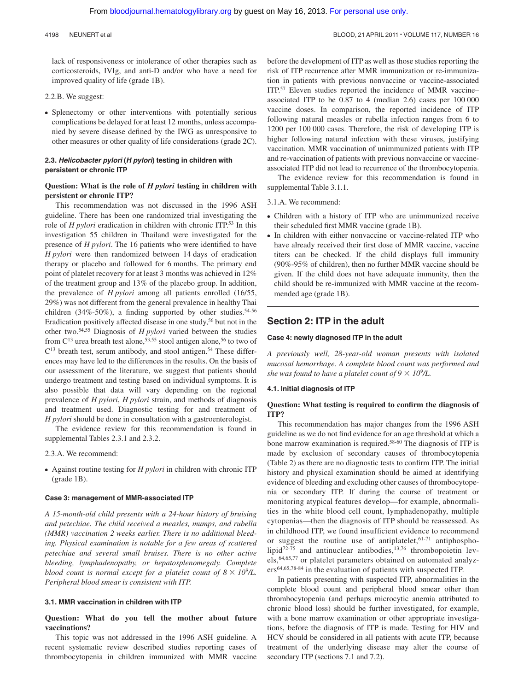lack of responsiveness or intolerance of other therapies such as corticosteroids, IVIg, and anti-D and/or who have a need for improved quality of life (grade 1B).

## 2.2.B. We suggest:

• Splenectomy or other interventions with potentially serious complications be delayed for at least 12 months, unless accompanied by severe disease defined by the IWG as unresponsive to other measures or other quality of life considerations (grade 2C).

## **2.3.** *Helicobacter pylori* **(***H pylori***) testing in children with persistent or chronic ITP**

## **Question: What is the role of** *H pylori* **testing in children with persistent or chronic ITP?**

This recommendation was not discussed in the 1996 ASH guideline. There has been one randomized trial investigating the role of *H pylori* eradication in children with chronic ITP.53 In this investigation 55 children in Thailand were investigated for the presence of *H pylori*. The 16 patients who were identified to have *H pylori* were then randomized between 14 days of eradication therapy or placebo and followed for 6 months. The primary end point of platelet recovery for at least 3 months was achieved in 12% of the treatment group and 13% of the placebo group. In addition, the prevalence of *H pylori* among all patients enrolled (16/55, 29%) was not different from the general prevalence in healthy Thai children (34%-50%), a finding supported by other studies.<sup>54-56</sup> Eradication positively affected disease in one study,56 but not in the other two.54,55 Diagnosis of *H pylori* varied between the studies from C<sup>13</sup> urea breath test alone,<sup>53,55</sup> stool antigen alone,<sup>56</sup> to two of  $C<sup>13</sup>$  breath test, serum antibody, and stool antigen.<sup>54</sup> These differences may have led to the differences in the results. On the basis of our assessment of the literature, we suggest that patients should undergo treatment and testing based on individual symptoms. It is also possible that data will vary depending on the regional prevalence of *H pylori*, *H pylori* strain, and methods of diagnosis and treatment used. Diagnostic testing for and treatment of *H pylori* should be done in consultation with a gastroenterologist.

The evidence review for this recommendation is found in supplemental Tables 2.3.1 and 2.3.2.

2.3.A. We recommend:

● Against routine testing for *H pylori* in children with chronic ITP (grade 1B).

## **Case 3: management of MMR-associated ITP**

*A 15-month-old child presents with a 24-hour history of bruising and petechiae. The child received a measles, mumps, and rubella (MMR) vaccination 2 weeks earlier. There is no additional bleeding. Physical examination is notable for a few areas of scattered petechiae and several small bruises. There is no other active bleeding, lymphadenopathy, or hepatosplenomegaly. Complete blood count is normal except for a platelet count of*  $8 \times 10^9$ */L. Peripheral blood smear is consistent with ITP.*

## **3.1. MMR vaccination in children with ITP**

## **Question: What do you tell the mother about future vaccinations?**

This topic was not addressed in the 1996 ASH guideline. A recent systematic review described studies reporting cases of thrombocytopenia in children immunized with MMR vaccine before the development of ITP as well as those studies reporting the risk of ITP recurrence after MMR immunization or re-immunization in patients with previous nonvaccine or vaccine-associated ITP.57 Eleven studies reported the incidence of MMR vaccine– associated ITP to be 0.87 to 4 (median 2.6) cases per 100 000 vaccine doses. In comparison, the reported incidence of ITP following natural measles or rubella infection ranges from 6 to 1200 per 100 000 cases. Therefore, the risk of developing ITP is higher following natural infection with these viruses, justifying vaccination. MMR vaccination of unimmunized patients with ITP and re-vaccination of patients with previous nonvaccine or vaccineassociated ITP did not lead to recurrence of the thrombocytopenia.

The evidence review for this recommendation is found in supplemental Table 3.1.1.

3.1.A. We recommend:

- Children with a history of ITP who are unimmunized receive their scheduled first MMR vaccine (grade 1B).
- In children with either nonvaccine or vaccine-related ITP who have already received their first dose of MMR vaccine, vaccine titers can be checked. If the child displays full immunity (90%-95% of children), then no further MMR vaccine should be given. If the child does not have adequate immunity, then the child should be re-immunized with MMR vaccine at the recommended age (grade 1B).

## **Section 2: ITP in the adult**

## **Case 4: newly diagnosed ITP in the adult**

*A previously well, 28-year-old woman presents with isolated mucosal hemorrhage. A complete blood count was performed and she was found to have a platelet count of 9*  $\times$  10<sup>9</sup>/L.

## **4.1. Initial diagnosis of ITP**

## **Question: What testing is required to confirm the diagnosis of ITP?**

This recommendation has major changes from the 1996 ASH guideline as we do not find evidence for an age threshold at which a bone marrow examination is required.58-60 The diagnosis of ITP is made by exclusion of secondary causes of thrombocytopenia (Table 2) as there are no diagnostic tests to confirm ITP. The initial history and physical examination should be aimed at identifying evidence of bleeding and excluding other causes of thrombocytopenia or secondary ITP. If during the course of treatment or monitoring atypical features develop—for example, abnormalities in the white blood cell count, lymphadenopathy, multiple cytopenias—then the diagnosis of ITP should be reassessed. As in childhood ITP, we found insufficient evidence to recommend or suggest the routine use of antiplatelet, <sup>61-71</sup> antiphospholipid $72-75$  and antinuclear antibodies,  $13,76$  thrombopoietin levels,64,65,77 or platelet parameters obtained on automated analyzers64,65,78-84 in the evaluation of patients with suspected ITP.

In patients presenting with suspected ITP, abnormalities in the complete blood count and peripheral blood smear other than thrombocytopenia (and perhaps microcytic anemia attributed to chronic blood loss) should be further investigated, for example, with a bone marrow examination or other appropriate investigations, before the diagnosis of ITP is made. Testing for HIV and HCV should be considered in all patients with acute ITP, because treatment of the underlying disease may alter the course of secondary ITP (sections 7.1 and 7.2).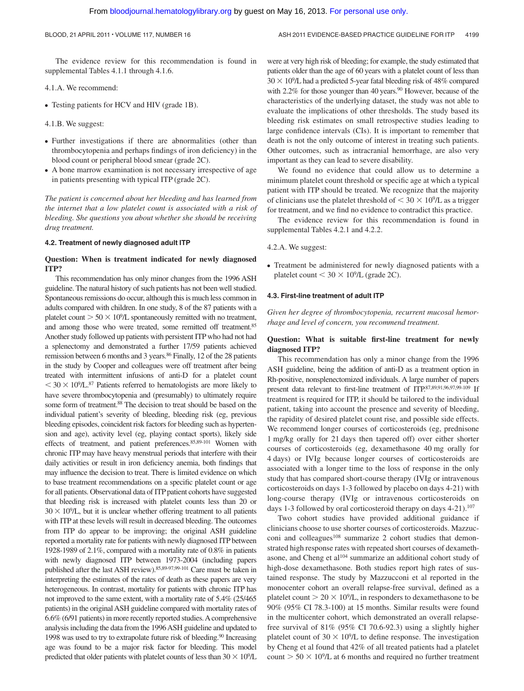BLOOD, 21 APRIL 2011 · VOLUME 117, NUMBER 16 ASH 2011 EVIDENCE-BASED PRACTICE GUIDELINE FOR ITP 4199

The evidence review for this recommendation is found in supplemental Tables 4.1.1 through 4.1.6.

4.1.A. We recommend:

- Testing patients for HCV and HIV (grade 1B).
- 4.1.B. We suggest:
- Further investigations if there are abnormalities (other than thrombocytopenia and perhaps findings of iron deficiency) in the blood count or peripheral blood smear (grade 2C).
- A bone marrow examination is not necessary irrespective of age in patients presenting with typical ITP (grade 2C).

*The patient is concerned about her bleeding and has learned from the internet that a low platelet count is associated with a risk of bleeding. She questions you about whether she should be receiving drug treatment.*

## **4.2. Treatment of newly diagnosed adult ITP**

## **Question: When is treatment indicated for newly diagnosed ITP?**

This recommendation has only minor changes from the 1996 ASH guideline. The natural history of such patients has not been well studied. Spontaneous remissions do occur, although this is much less common in adults compared with children. In one study, 8 of the 87 patients with a platelet count  $> 50 \times 10^9$ /L spontaneously remitted with no treatment, and among those who were treated, some remitted off treatment.85 Another study followed up patients with persistent ITP who had not had a splenectomy and demonstrated a further 17/59 patients achieved remission between 6 months and 3 years.<sup>86</sup> Finally, 12 of the 28 patients in the study by Cooper and colleagues were off treatment after being treated with intermittent infusions of anti-D for a platelet count  $<$  30  $\times$  10<sup>9</sup>/L.<sup>87</sup> Patients referred to hematologists are more likely to have severe thrombocytopenia and (presumably) to ultimately require some form of treatment.<sup>88</sup> The decision to treat should be based on the individual patient's severity of bleeding, bleeding risk (eg, previous bleeding episodes, coincident risk factors for bleeding such as hypertension and age), activity level (eg, playing contact sports), likely side effects of treatment, and patient preferences.85,89-101 Women with chronic ITP may have heavy menstrual periods that interfere with their daily activities or result in iron deficiency anemia, both findings that may influence the decision to treat. There is limited evidence on which to base treatment recommendations on a specific platelet count or age for all patients. Observational data of ITP patient cohorts have suggested that bleeding risk is increased with platelet counts less than 20 or  $30 \times 10^9$ /L, but it is unclear whether offering treatment to all patients with ITP at these levels will result in decreased bleeding. The outcomes from ITP do appear to be improving; the original ASH guideline reported a mortality rate for patients with newly diagnosed ITP between 1928-1989 of 2.1%, compared with a mortality rate of 0.8% in patients with newly diagnosed ITP between 1973-2004 (including papers published after the last ASH review).85,89-97,99-101 Care must be taken in interpreting the estimates of the rates of death as these papers are very heterogeneous. In contrast, mortality for patients with chronic ITP has not improved to the same extent, with a mortality rate of 5.4% (25/465 patients) in the original ASH guideline compared with mortality rates of 6.6% (6/91 patients) in more recently reported studies.A comprehensive analysis including the data from the 1996 ASH guideline and updated to 1998 was used to try to extrapolate future risk of bleeding.<sup>90</sup> Increasing age was found to be a major risk factor for bleeding. This model predicted that older patients with platelet counts of less than  $30 \times 10^9$ /L were at very high risk of bleeding; for example, the study estimated that patients older than the age of 60 years with a platelet count of less than  $30 \times 10^9$ /L had a predicted 5-year fatal bleeding risk of 48% compared with  $2.2\%$  for those younger than 40 years.<sup>90</sup> However, because of the characteristics of the underlying dataset, the study was not able to evaluate the implications of other thresholds. The study based its bleeding risk estimates on small retrospective studies leading to large confidence intervals (CIs). It is important to remember that death is not the only outcome of interest in treating such patients. Other outcomes, such as intracranial hemorrhage, are also very important as they can lead to severe disability.

We found no evidence that could allow us to determine a minimum platelet count threshold or specific age at which a typical patient with ITP should be treated. We recognize that the majority of clinicians use the platelet threshold of  $< 30 \times 10^9$ /L as a trigger for treatment, and we find no evidence to contradict this practice.

The evidence review for this recommendation is found in supplemental Tables 4.2.1 and 4.2.2.

4.2.A. We suggest:

● Treatment be administered for newly diagnosed patients with a platelet count  $< 30 \times 10^9$ /L (grade 2C).

## **4.3. First-line treatment of adult ITP**

*Given her degree of thrombocytopenia, recurrent mucosal hemorrhage and level of concern, you recommend treatment.*

## **Question: What is suitable first-line treatment for newly diagnosed ITP?**

This recommendation has only a minor change from the 1996 ASH guideline, being the addition of anti-D as a treatment option in Rh-positive, nonsplenectomized individuals. A large number of papers present data relevant to first-line treatment of ITP.87,89,91,96,97,99-109 If treatment is required for ITP, it should be tailored to the individual patient, taking into account the presence and severity of bleeding, the rapidity of desired platelet count rise, and possible side effects. We recommend longer courses of corticosteroids (eg, prednisone 1 mg/kg orally for 21 days then tapered off) over either shorter courses of corticosteroids (eg, dexamethasone 40 mg orally for 4 days) or IVIg because longer courses of corticosteroids are associated with a longer time to the loss of response in the only study that has compared short-course therapy (IVIg or intravenous corticosteroids on days 1-3 followed by placebo on days 4-21) with long-course therapy (IVIg or intravenous corticosteroids on days 1-3 followed by oral corticosteroid therapy on days 4-21).<sup>107</sup>

Two cohort studies have provided additional guidance if clinicians choose to use shorter courses of corticosteroids. Mazzucconi and colleagues $108$  summarize 2 cohort studies that demonstrated high response rates with repeated short courses of dexamethasone, and Cheng et al<sup>104</sup> summarize an additional cohort study of high-dose dexamethasone. Both studies report high rates of sustained response. The study by Mazzucconi et al reported in the monocenter cohort an overall relapse-free survival, defined as a platelet count  $> 20 \times 10^9$ /L, in responders to dexamethasone to be 90% (95% CI 78.3-100) at 15 months. Similar results were found in the multicenter cohort, which demonstrated an overall relapsefree survival of 81% (95% CI 70.6-92.3) using a slightly higher platelet count of  $30 \times 10^9$ /L to define response. The investigation by Cheng et al found that 42% of all treated patients had a platelet count  $> 50 \times 10^9$ /L at 6 months and required no further treatment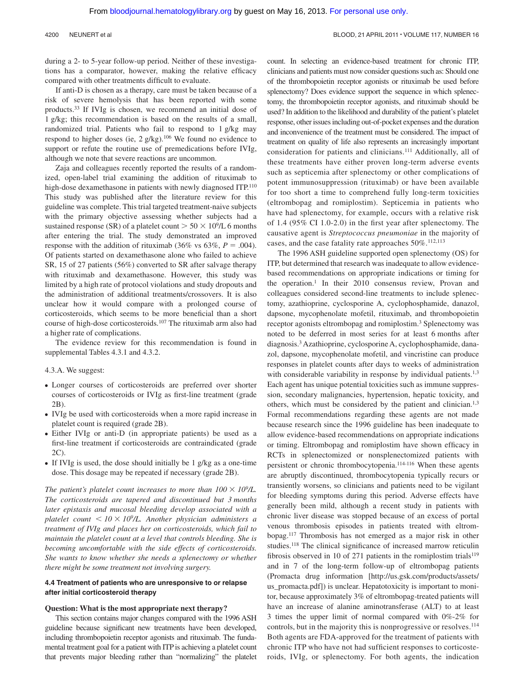during a 2- to 5-year follow-up period. Neither of these investigations has a comparator, however, making the relative efficacy compared with other treatments difficult to evaluate.

If anti-D is chosen as a therapy, care must be taken because of a risk of severe hemolysis that has been reported with some products.33 If IVIg is chosen, we recommend an initial dose of 1 g/kg; this recommendation is based on the results of a small, randomized trial. Patients who fail to respond to 1 g/kg may respond to higher doses (ie, 2 g/kg).106 We found no evidence to support or refute the routine use of premedications before IVIg, although we note that severe reactions are uncommon.

Zaja and colleagues recently reported the results of a randomized, open-label trial examining the addition of rituximab to high-dose dexamethasone in patients with newly diagnosed ITP.<sup>110</sup> This study was published after the literature review for this guideline was complete. This trial targeted treatment-naive subjects with the primary objective assessing whether subjects had a sustained response (SR) of a platelet count  $> 50 \times 10^9$ /L 6 months after entering the trial. The study demonstrated an improved response with the addition of rituximab (36% vs  $63\%, P = .004$ ). Of patients started on dexamethasone alone who failed to achieve SR, 15 of 27 patients (56%) converted to SR after salvage therapy with rituximab and dexamethasone. However, this study was limited by a high rate of protocol violations and study dropouts and the administration of additional treatments/crossovers. It is also unclear how it would compare with a prolonged course of corticosteroids, which seems to be more beneficial than a short course of high-dose corticosteroids.107 The rituximab arm also had a higher rate of complications.

The evidence review for this recommendation is found in supplemental Tables 4.3.1 and 4.3.2.

## 4.3.A. We suggest:

- Longer courses of corticosteroids are preferred over shorter courses of corticosteroids or IVIg as first-line treatment (grade 2B).
- IVIg be used with corticosteroids when a more rapid increase in platelet count is required (grade 2B).
- Either IVIg or anti-D (in appropriate patients) be used as a first-line treatment if corticosteroids are contraindicated (grade 2C).
- If IVIg is used, the dose should initially be 1  $g/kg$  as a one-time dose. This dosage may be repeated if necessary (grade 2B).

*The patient's platelet count increases to more than*  $100 \times 10^9$ */L. The corticosteroids are tapered and discontinued but 3 months later epistaxis and mucosal bleeding develop associated with a platelet count* - *10 109/L. Another physician administers a treatment of IVIg and places her on corticosteroids, which fail to maintain the platelet count at a level that controls bleeding. She is becoming uncomfortable with the side effects of corticosteroids. She wants to know whether she needs a splenectomy or whether there might be some treatment not involving surgery.*

## **4.4 Treatment of patients who are unresponsive to or relapse after initial corticosteroid therapy**

#### **Question: What is the most appropriate next therapy?**

This section contains major changes compared with the 1996 ASH guideline because significant new treatments have been developed, including thrombopoietin receptor agonists and rituximab. The fundamental treatment goal for a patient with ITP is achieving a platelet count that prevents major bleeding rather than "normalizing" the platelet count. In selecting an evidence-based treatment for chronic ITP, clinicians and patients must now consider questions such as: Should one of the thrombopoietin receptor agonists or rituximab be used before splenectomy? Does evidence support the sequence in which splenectomy, the thrombopoietin receptor agonists, and rituximab should be used? In addition to the likelihood and durability of the patient's platelet response, other issues including out-of-pocket expenses and the duration and inconvenience of the treatment must be considered. The impact of treatment on quality of life also represents an increasingly important consideration for patients and clinicians.111 Additionally, all of these treatments have either proven long-term adverse events such as septicemia after splenectomy or other complications of potent immunosuppression (rituximab) or have been available for too short a time to comprehend fully long-term toxicities (eltrombopag and romiplostim). Septicemia in patients who have had splenectomy, for example, occurs with a relative risk of 1.4 (95% CI 1.0-2.0) in the first year after splenectomy. The causative agent is *Streptococcus pneumoniae* in the majority of cases, and the case fatality rate approaches 50%.112,113

The 1996 ASH guideline supported open splenectomy (OS) for ITP, but determined that research was inadequate to allow evidencebased recommendations on appropriate indications or timing for the operation.<sup>1</sup> In their 2010 consensus review, Provan and colleagues considered second-line treatments to include splenectomy, azathioprine, cyclosporine A, cyclophosphamide, danazol, dapsone, mycophenolate mofetil, rituximab, and thrombopoietin receptor agonists eltrombopag and romiplostim.<sup>3</sup> Splenectomy was noted to be deferred in most series for at least 6 months after diagnosis.3Azathioprine, cyclosporine A, cyclophosphamide, danazol, dapsone, mycophenolate mofetil, and vincristine can produce responses in platelet counts after days to weeks of administration with considerable variability in response by individual patients.<sup>1,3</sup> Each agent has unique potential toxicities such as immune suppression, secondary malignancies, hypertension, hepatic toxicity, and others, which must be considered by the patient and clinician.1,3 Formal recommendations regarding these agents are not made because research since the 1996 guideline has been inadequate to allow evidence-based recommendations on appropriate indications or timing. Eltrombopag and romiplostim have shown efficacy in RCTs in splenectomized or nonsplenectomized patients with persistent or chronic thrombocytopenia.114-116 When these agents are abruptly discontinued, thrombocytopenia typically recurs or transiently worsens, so clinicians and patients need to be vigilant for bleeding symptoms during this period. Adverse effects have generally been mild, although a recent study in patients with chronic liver disease was stopped because of an excess of portal venous thrombosis episodes in patients treated with eltrombopag.117 Thrombosis has not emerged as a major risk in other studies.<sup>118</sup> The clinical significance of increased marrow reticulin fibrosis observed in 10 of 271 patients in the romiplostim trials<sup>119</sup> and in 7 of the long-term follow-up of eltrombopag patients (Promacta drug information [http://us.gsk.com/products/assets/ us\_promacta.pdf]) is unclear. Hepatotoxicity is important to monitor, because approximately 3% of eltrombopag-treated patients will have an increase of alanine aminotransferase (ALT) to at least 3 times the upper limit of normal compared with 0%-2% for controls, but in the majority this is nonprogressive or resolves.<sup>114</sup> Both agents are FDA-approved for the treatment of patients with chronic ITP who have not had sufficient responses to corticosteroids, IVIg, or splenectomy. For both agents, the indication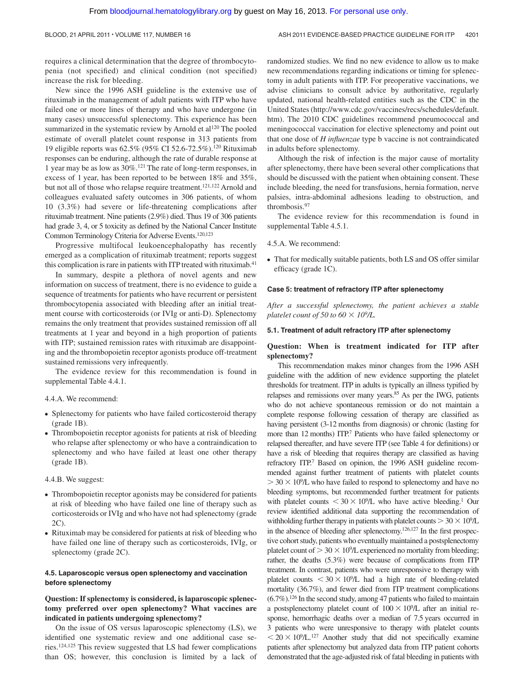requires a clinical determination that the degree of thrombocytopenia (not specified) and clinical condition (not specified) increase the risk for bleeding.

New since the 1996 ASH guideline is the extensive use of rituximab in the management of adult patients with ITP who have failed one or more lines of therapy and who have undergone (in many cases) unsuccessful splenectomy. This experience has been summarized in the systematic review by Arnold et al<sup>120</sup> The pooled estimate of overall platelet count response in 313 patients from 19 eligible reports was 62.5% (95% CI 52.6-72.5%).120 Rituximab responses can be enduring, although the rate of durable response at 1 year may be as low as 30%.121 The rate of long-term responses, in excess of 1 year, has been reported to be between 18% and 35%, but not all of those who relapse require treatment.<sup>121,122</sup> Arnold and colleagues evaluated safety outcomes in 306 patients, of whom 10 (3.3%) had severe or life-threatening complications after rituximab treatment. Nine patients (2.9%) died. Thus 19 of 306 patients had grade 3, 4, or 5 toxicity as defined by the National Cancer Institute Common Terminology Criteria for Adverse Events.120,123

Progressive multifocal leukoencephalopathy has recently emerged as a complication of rituximab treatment; reports suggest this complication is rare in patients with ITP treated with rituximab.<sup>41</sup>

In summary, despite a plethora of novel agents and new information on success of treatment, there is no evidence to guide a sequence of treatments for patients who have recurrent or persistent thrombocytopenia associated with bleeding after an initial treatment course with corticosteroids (or IVIg or anti-D). Splenectomy remains the only treatment that provides sustained remission off all treatments at 1 year and beyond in a high proportion of patients with ITP; sustained remission rates with rituximab are disappointing and the thrombopoietin receptor agonists produce off-treatment sustained remissions very infrequently.

The evidence review for this recommendation is found in supplemental Table 4.4.1.

## 4.4.A. We recommend:

- Splenectomy for patients who have failed corticosteroid therapy (grade 1B).
- Thrombopoietin receptor agonists for patients at risk of bleeding who relapse after splenectomy or who have a contraindication to splenectomy and who have failed at least one other therapy (grade 1B).
- 4.4.B. We suggest:
- Thrombopoietin receptor agonists may be considered for patients at risk of bleeding who have failed one line of therapy such as corticosteroids or IVIg and who have not had splenectomy (grade 2C).
- Rituximab may be considered for patients at risk of bleeding who have failed one line of therapy such as corticosteroids, IVIg, or splenectomy (grade 2C).

## **4.5. Laparoscopic versus open splenectomy and vaccination before splenectomy**

## **Question: If splenectomy is considered, is laparoscopic splenectomy preferred over open splenectomy? What vaccines are indicated in patients undergoing splenectomy?**

On the issue of OS versus laparoscopic splenectomy (LS), we identified one systematic review and one additional case series.124,125 This review suggested that LS had fewer complications than OS; however, this conclusion is limited by a lack of randomized studies. We find no new evidence to allow us to make new recommendations regarding indications or timing for splenectomy in adult patients with ITP. For preoperative vaccinations, we advise clinicians to consult advice by authoritative, regularly updated, national health-related entities such as the CDC in the United States (http://www.cdc.gov/vaccines/recs/schedules/default. htm). The 2010 CDC guidelines recommend pneumococcal and meningococcal vaccination for elective splenectomy and point out that one dose of *H influenzae* type b vaccine is not contraindicated in adults before splenectomy.

Although the risk of infection is the major cause of mortality after splenectomy, there have been several other complications that should be discussed with the patient when obtaining consent. These include bleeding, the need for transfusions, hernia formation, nerve palsies, intra-abdominal adhesions leading to obstruction, and thrombosis.97

The evidence review for this recommendation is found in supplemental Table 4.5.1.

- 4.5.A. We recommend:
- That for medically suitable patients, both LS and OS offer similar efficacy (grade 1C).

#### **Case 5: treatment of refractory ITP after splenectomy**

*After a successful splenectomy, the patient achieves a stable platelet count of 50 to 60*  $\times$  10<sup>9</sup>/L.

## **5.1. Treatment of adult refractory ITP after splenectomy**

## **Question: When is treatment indicated for ITP after splenectomy?**

This recommendation makes minor changes from the 1996 ASH guideline with the addition of new evidence supporting the platelet thresholds for treatment. ITP in adults is typically an illness typified by relapses and remissions over many years.<sup>85</sup> As per the IWG, patients who do not achieve spontaneous remission or do not maintain a complete response following cessation of therapy are classified as having persistent (3-12 months from diagnosis) or chronic (lasting for more than 12 months) ITP.<sup>7</sup> Patients who have failed splenectomy or relapsed thereafter, and have severe ITP (see Table 4 for definitions) or have a risk of bleeding that requires therapy are classified as having refractory ITP.<sup>7</sup> Based on opinion, the 1996 ASH guideline recommended against further treatment of patients with platelet counts  $>$  30  $\times$  10<sup>9</sup>/L who have failed to respond to splenectomy and have no bleeding symptoms, but recommended further treatment for patients with platelet counts  $< 30 \times 10^9$ /L who have active bleeding.<sup>1</sup> Our review identified additional data supporting the recommendation of withholding further therapy in patients with platelet counts  $> 30 \times 10^9$ /L in the absence of bleeding after splenectomy.<sup>126,127</sup> In the first prospective cohort study, patients who eventually maintained a postsplenectomy platelet count of  $> 30 \times 10^9$ /L experienced no mortality from bleeding; rather, the deaths (5.3%) were because of complications from ITP treatment. In contrast, patients who were unresponsive to therapy with platelet counts  $\langle 30 \times 10^9 \rangle$  had a high rate of bleeding-related mortality (36.7%), and fewer died from ITP treatment complications (6.7%).126 In the second study, among 47 patients who failed to maintain a postsplenectomy platelet count of  $100 \times 10^9$ /L after an initial response, hemorrhagic deaths over a median of 7.5 years occurred in 3 patients who were unresponsive to therapy with platelet counts  $<$  20  $\times$  10<sup>9</sup>/L.<sup>127</sup> Another study that did not specifically examine patients after splenectomy but analyzed data from ITP patient cohorts demonstrated that the age-adjusted risk of fatal bleeding in patients with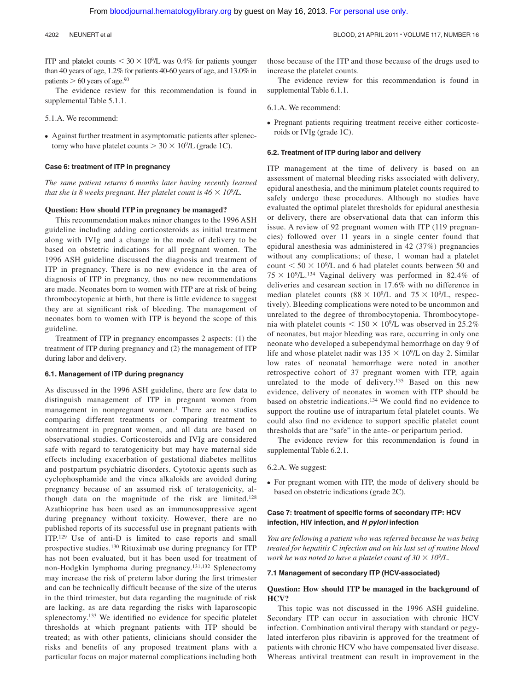ITP and platelet counts  $< 30 \times 10^{9}$ /L was 0.4% for patients younger than 40 years of age, 1.2% for patients 40-60 years of age, and 13.0% in patients  $> 60$  years of age.<sup>90</sup>

The evidence review for this recommendation is found in supplemental Table 5.1.1.

5.1.A. We recommend:

• Against further treatment in asymptomatic patients after splenectomy who have platelet counts  $> 30 \times 10^9$ /L (grade 1C).

## **Case 6: treatment of ITP in pregnancy**

*The same patient returns 6 months later having recently learned that she is 8 weeks pregnant. Her platelet count is*  $46 \times 10^9$ */L.* 

## **Question: How should ITP in pregnancy be managed?**

This recommendation makes minor changes to the 1996 ASH guideline including adding corticosteroids as initial treatment along with IVIg and a change in the mode of delivery to be based on obstetric indications for all pregnant women. The 1996 ASH guideline discussed the diagnosis and treatment of ITP in pregnancy. There is no new evidence in the area of diagnosis of ITP in pregnancy, thus no new recommendations are made. Neonates born to women with ITP are at risk of being thrombocytopenic at birth, but there is little evidence to suggest they are at significant risk of bleeding. The management of neonates born to women with ITP is beyond the scope of this guideline.

Treatment of ITP in pregnancy encompasses 2 aspects: (1) the treatment of ITP during pregnancy and (2) the management of ITP during labor and delivery.

## **6.1. Management of ITP during pregnancy**

As discussed in the 1996 ASH guideline, there are few data to distinguish management of ITP in pregnant women from management in nonpregnant women.<sup>1</sup> There are no studies comparing different treatments or comparing treatment to nontreatment in pregnant women, and all data are based on observational studies. Corticosteroids and IVIg are considered safe with regard to teratogenicity but may have maternal side effects including exacerbation of gestational diabetes mellitus and postpartum psychiatric disorders. Cytotoxic agents such as cyclophosphamide and the vinca alkaloids are avoided during pregnancy because of an assumed risk of teratogenicity, although data on the magnitude of the risk are limited.128 Azathioprine has been used as an immunosuppressive agent during pregnancy without toxicity. However, there are no published reports of its successful use in pregnant patients with ITP.129 Use of anti-D is limited to case reports and small prospective studies.130 Rituximab use during pregnancy for ITP has not been evaluated, but it has been used for treatment of non-Hodgkin lymphoma during pregnancy.131,132 Splenectomy may increase the risk of preterm labor during the first trimester and can be technically difficult because of the size of the uterus in the third trimester, but data regarding the magnitude of risk are lacking, as are data regarding the risks with laparoscopic splenectomy.133 We identified no evidence for specific platelet thresholds at which pregnant patients with ITP should be treated; as with other patients, clinicians should consider the risks and benefits of any proposed treatment plans with a particular focus on major maternal complications including both those because of the ITP and those because of the drugs used to increase the platelet counts.

The evidence review for this recommendation is found in supplemental Table 6.1.1.

- 6.1.A. We recommend:
- Pregnant patients requiring treatment receive either corticosteroids or IVIg (grade 1C).

## **6.2. Treatment of ITP during labor and delivery**

ITP management at the time of delivery is based on an assessment of maternal bleeding risks associated with delivery, epidural anesthesia, and the minimum platelet counts required to safely undergo these procedures. Although no studies have evaluated the optimal platelet thresholds for epidural anesthesia or delivery, there are observational data that can inform this issue. A review of 92 pregnant women with ITP (119 pregnancies) followed over 11 years in a single center found that epidural anesthesia was administered in 42 (37%) pregnancies without any complications; of these, 1 woman had a platelet count  $\leq 50 \times 10^9$ /L and 6 had platelet counts between 50 and  $75 \times 10^9$ /L.<sup>134</sup> Vaginal delivery was performed in 82.4% of deliveries and cesarean section in 17.6% with no difference in median platelet counts  $(88 \times 10^9)$ L and  $75 \times 10^9$ /L, respectively). Bleeding complications were noted to be uncommon and unrelated to the degree of thrombocytopenia. Thrombocytopenia with platelet counts  $\leq 150 \times 10^9$ /L was observed in 25.2% of neonates, but major bleeding was rare, occurring in only one neonate who developed a subependymal hemorrhage on day 9 of life and whose platelet nadir was  $135 \times 10^9$ /L on day 2. Similar low rates of neonatal hemorrhage were noted in another retrospective cohort of 37 pregnant women with ITP, again unrelated to the mode of delivery.<sup>135</sup> Based on this new evidence, delivery of neonates in women with ITP should be based on obstetric indications.134 We could find no evidence to support the routine use of intrapartum fetal platelet counts. We could also find no evidence to support specific platelet count thresholds that are "safe" in the ante- or peripartum period.

The evidence review for this recommendation is found in supplemental Table 6.2.1.

## 6.2.A. We suggest:

● For pregnant women with ITP, the mode of delivery should be based on obstetric indications (grade 2C).

## **Case 7: treatment of specific forms of secondary ITP: HCV infection, HIV infection, and** *H pylori* **infection**

*You are following a patient who was referred because he was being treated for hepatitis C infection and on his last set of routine blood work he was noted to have a platelet count of 30*  $\times$  10<sup>9</sup>/L.

## **7.1 Management of secondary ITP (HCV-associated)**

## **Question: How should ITP be managed in the background of HCV?**

This topic was not discussed in the 1996 ASH guideline. Secondary ITP can occur in association with chronic HCV infection. Combination antiviral therapy with standard or pegylated interferon plus ribavirin is approved for the treatment of patients with chronic HCV who have compensated liver disease. Whereas antiviral treatment can result in improvement in the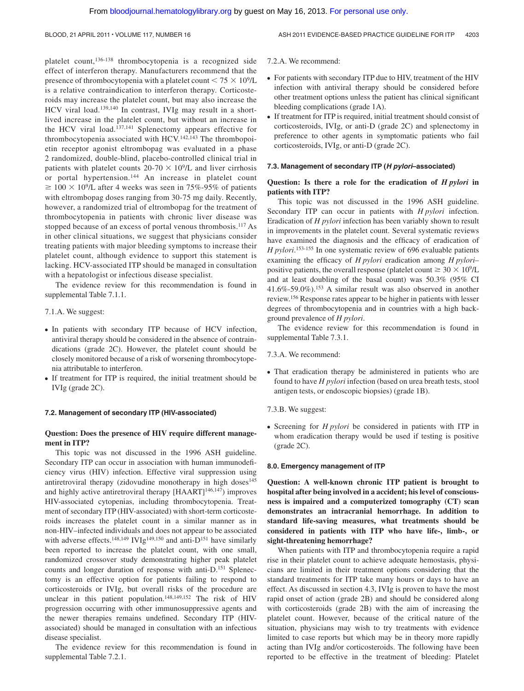platelet count,<sup>136-138</sup> thrombocytopenia is a recognized side effect of interferon therapy. Manufacturers recommend that the presence of thrombocytopenia with a platelet count  $\leq 75 \times 10^9$ /L is a relative contraindication to interferon therapy. Corticosteroids may increase the platelet count, but may also increase the HCV viral load.139,140 In contrast, IVIg may result in a shortlived increase in the platelet count, but without an increase in the HCV viral load.137,141 Splenectomy appears effective for thrombocytopenia associated with HCV.142,143 The thrombopoietin receptor agonist eltrombopag was evaluated in a phase 2 randomized, double-blind, placebo-controlled clinical trial in patients with platelet counts  $20-70 \times 10^9$ /L and liver cirrhosis or portal hypertension.144 An increase in platelet count  $\geq 100 \times 10^9$ /L after 4 weeks was seen in 75%-95% of patients with eltrombopag doses ranging from 30-75 mg daily. Recently, however, a randomized trial of eltrombopag for the treatment of thrombocytopenia in patients with chronic liver disease was stopped because of an excess of portal venous thrombosis.<sup>117</sup> As in other clinical situations, we suggest that physicians consider treating patients with major bleeding symptoms to increase their platelet count, although evidence to support this statement is lacking. HCV-associated ITP should be managed in consultation with a hepatologist or infectious disease specialist.

The evidence review for this recommendation is found in supplemental Table 7.1.1.

7.1.A. We suggest:

- In patients with secondary ITP because of HCV infection, antiviral therapy should be considered in the absence of contraindications (grade 2C). However, the platelet count should be closely monitored because of a risk of worsening thrombocytopenia attributable to interferon.
- If treatment for ITP is required, the initial treatment should be IVIg (grade 2C).

#### **7.2. Management of secondary ITP (HIV-associated)**

## **Question: Does the presence of HIV require different management in ITP?**

This topic was not discussed in the 1996 ASH guideline. Secondary ITP can occur in association with human immunodeficiency virus (HIV) infection. Effective viral suppression using antiretroviral therapy (zidovudine monotherapy in high doses<sup>145</sup> and highly active antiretroviral therapy [HAART]<sup>146,147</sup>) improves HIV-associated cytopenias, including thrombocytopenia. Treatment of secondary ITP (HIV-associated) with short-term corticosteroids increases the platelet count in a similar manner as in non-HIV–infected individuals and does not appear to be associated with adverse effects.<sup>148,149</sup> IVIg<sup>149,150</sup> and anti- $D^{151}$  have similarly been reported to increase the platelet count, with one small, randomized crossover study demonstrating higher peak platelet counts and longer duration of response with anti-D.151 Splenectomy is an effective option for patients failing to respond to corticosteroids or IVIg, but overall risks of the procedure are unclear in this patient population.<sup>148,149,152</sup> The risk of HIV progression occurring with other immunosuppressive agents and the newer therapies remains undefined. Secondary ITP (HIVassociated) should be managed in consultation with an infectious disease specialist.

The evidence review for this recommendation is found in supplemental Table 7.2.1.

7.2.A. We recommend:

- For patients with secondary ITP due to HIV, treatment of the HIV infection with antiviral therapy should be considered before other treatment options unless the patient has clinical significant bleeding complications (grade 1A).
- If treatment for ITP is required, initial treatment should consist of corticosteroids, IVIg, or anti-D (grade 2C) and splenectomy in preference to other agents in symptomatic patients who fail corticosteroids, IVIg, or anti-D (grade 2C).

### **7.3. Management of secondary ITP (***H pylori***–associated)**

## **Question: Is there a role for the eradication of** *H pylori* **in patients with ITP?**

This topic was not discussed in the 1996 ASH guideline. Secondary ITP can occur in patients with *H pylori* infection. Eradication of *H pylori* infection has been variably shown to result in improvements in the platelet count. Several systematic reviews have examined the diagnosis and the efficacy of eradication of *H pylori*. 153-155 In one systematic review of 696 evaluable patients examining the efficacy of *H pylori* eradication among *H pylori*– positive patients, the overall response (platelet count  $\geq 30 \times 10^9$ /L and at least doubling of the basal count) was 50.3% (95% CI 41.6%-59.0%).153 A similar result was also observed in another review.156 Response rates appear to be higher in patients with lesser degrees of thrombocytopenia and in countries with a high background prevalence of *H pylori*.

The evidence review for this recommendation is found in supplemental Table 7.3.1.

7.3.A. We recommend:

● That eradication therapy be administered in patients who are found to have *H pylori* infection (based on urea breath tests, stool antigen tests, or endoscopic biopsies) (grade 1B).

## 7.3.B. We suggest:

• Screening for *H pylori* be considered in patients with ITP in whom eradication therapy would be used if testing is positive (grade 2C).

## **8.0. Emergency management of ITP**

**Question: A well-known chronic ITP patient is brought to hospital after being involved in a accident; his level of consciousness is impaired and a computerized tomography (CT) scan demonstrates an intracranial hemorrhage. In addition to standard life-saving measures, what treatments should be considered in patients with ITP who have life-, limb-, or sight-threatening hemorrhage?**

When patients with ITP and thrombocytopenia require a rapid rise in their platelet count to achieve adequate hemostasis, physicians are limited in their treatment options considering that the standard treatments for ITP take many hours or days to have an effect. As discussed in section 4.3, IVIg is proven to have the most rapid onset of action (grade 2B) and should be considered along with corticosteroids (grade 2B) with the aim of increasing the platelet count. However, because of the critical nature of the situation, physicians may wish to try treatments with evidence limited to case reports but which may be in theory more rapidly acting than IVIg and/or corticosteroids. The following have been reported to be effective in the treatment of bleeding: Platelet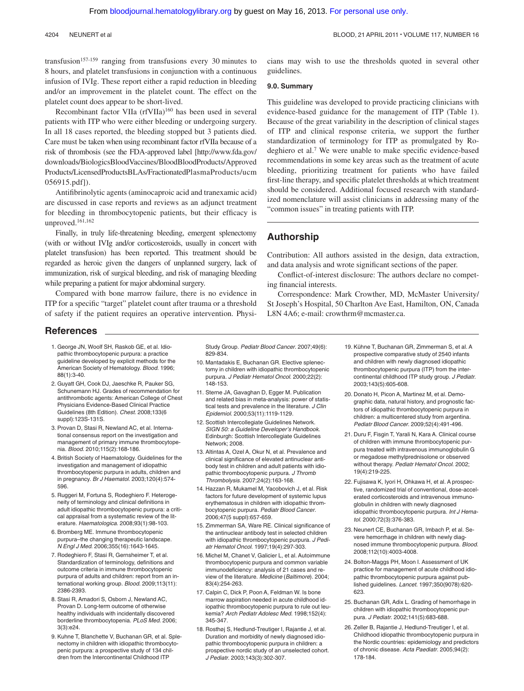transfusion<sup>157-159</sup> ranging from transfusions every 30 minutes to 8 hours, and platelet transfusions in conjunction with a continuous infusion of IVIg. These report either a rapid reduction in bleeding and/or an improvement in the platelet count. The effect on the platelet count does appear to be short-lived.

Recombinant factor VIIa (rfVIIa)160 has been used in several patients with ITP who were either bleeding or undergoing surgery. In all 18 cases reported, the bleeding stopped but 3 patients died. Care must be taken when using recombinant factor rfVIIa because of a risk of thrombosis (see the FDA-approved label [http://www.fda.gov/ downloads/BiologicsBloodVaccines/BloodBloodProducts/Approved Products/LicensedProductsBLAs/FractionatedPlasmaProducts/ucm 056915.pdf]).

Antifibrinolytic agents (aminocaproic acid and tranexamic acid) are discussed in case reports and reviews as an adjunct treatment for bleeding in thrombocytopenic patients, but their efficacy is unproved.161,162

Finally, in truly life-threatening bleeding, emergent splenectomy (with or without IVIg and/or corticosteroids, usually in concert with platelet transfusion) has been reported. This treatment should be regarded as heroic given the dangers of unplanned surgery, lack of immunization, risk of surgical bleeding, and risk of managing bleeding while preparing a patient for major abdominal surgery.

Compared with bone marrow failure, there is no evidence in ITP for a specific "target" platelet count after trauma or a threshold of safety if the patient requires an operative intervention. Physicians may wish to use the thresholds quoted in several other guidelines.

## **9.0. Summary**

This guideline was developed to provide practicing clinicians with evidence-based guidance for the management of ITP (Table 1). Because of the great variability in the description of clinical stages of ITP and clinical response criteria, we support the further standardization of terminology for ITP as promulgated by Rodeghiero et al.7 We were unable to make specific evidence-based recommendations in some key areas such as the treatment of acute bleeding, prioritizing treatment for patients who have failed first-line therapy, and specific platelet thresholds at which treatment should be considered. Additional focused research with standardized nomenclature will assist clinicians in addressing many of the "common issues" in treating patients with ITP.

## **Authorship**

Contribution: All authors assisted in the design, data extraction, and data analysis and wrote significant sections of the paper.

Conflict-of-interest disclosure: The authors declare no competing financial interests.

Correspondence: Mark Crowther, MD, McMaster University/ St Joseph's Hospital, 50 Charlton Ave East, Hamilton, ON, Canada L8N 4A6; e-mail: crowthrm@mcmaster.ca.

## **References**

- 1. George JN, Woolf SH, Raskob GE, et al. Idiopathic thrombocytopenic purpura: a practice guideline developed by explicit methods for the American Society of Hematology. *Blood*. 1996; 88(1):3-40.
- 2. Guyatt GH, Cook DJ, Jaeschke R, Pauker SG, Schunemann HJ. Grades of recommendation for antithrombotic agents: American College of Chest Physicians Evidence-Based Clinical Practice Guidelines (8th Edition). *Chest.* 2008;133(6 suppl):123S-131S.
- 3. Provan D, Stasi R, Newland AC, et al. International consensus report on the investigation and management of primary immune thrombocytopenia. *Blood*. 2010;115(2):168-186.
- 4. British Society of Haematology. Guidelines for the investigation and management of idiopathic thrombocytopenic purpura in adults, children and in pregnancy. *Br J Haematol.* 2003;120(4):574- 596.
- 5. Ruggeri M, Fortuna S, Rodeghiero F. Heterogeneity of terminology and clinical definitions in adult idiopathic thrombocytopenic purpura: a critical appraisal from a systematic review of the literature. *Haematologica*. 2008;93(1):98-103.
- 6. Bromberg ME. Immune thrombocytopenic purpura–the changing therapeutic landscape. *N Engl J Med*. 2006;355(16):1643-1645.
- 7. Rodeghiero F, Stasi R, Gernsheimer T, et al. Standardization of terminology, definitions and outcome criteria in immune thrombocytopenic purpura of adults and children: report from an international working group. *Blood*. 2009;113(11): 2386-2393.
- 8. Stasi R, Amadori S, Osborn J, Newland AC, Provan D. Long-term outcome of otherwise healthy individuals with incidentally discovered borderline thrombocytopenia. *PLoS Med*. 2006; 3(3):e24.
- 9. Kuhne T, Blanchette V, Buchanan GR, et al. Splenectomy in children with idiopathic thrombocytopenic purpura: a prospective study of 134 children from the Intercontinental Childhood ITP

Study Group. *Pediatr Blood Cancer*. 2007;49(6): 829-834.

- 10. Mantadakis E, Buchanan GR. Elective splenectomy in children with idiopathic thrombocytopenic purpura. *J Pediatr Hematol Oncol*. 2000;22(2): 148-153.
- 11. Sterne JA, Gavaghan D, Egger M. Publication and related bias in meta-analysis: power of statistical tests and prevalence in the literature. *J Clin Epidemiol*. 2000;53(11):1119-1129.
- 12. Scottish Intercollegiate Guidelines Network. *SIGN 50: a Guideline Developer's Handbook*. Edinburgh: Scottish Intercollegiate Guidelines Network; 2008.
- 13. Altintas A, Ozel A, Okur N, et al. Prevalence and clinical significance of elevated antinuclear antibody test in children and adult patients with idiopathic thrombocytopenic purpura. *J Thromb Thrombolysis*. 2007;24(2):163-168.
- 14. Hazzan R, Mukamel M, Yacobovich J, et al. Risk factors for future development of systemic lupus erythematosus in children with idiopathic thrombocytopenic purpura. *Pediatr Blood Cancer*. 2006;47(5 suppl):657-659.
- 15. Zimmerman SA, Ware RE. Clinical significance of the antinuclear antibody test in selected children with idiopathic thrombocytopenic purpura. *J Pediatr Hematol Oncol*. 1997;19(4):297-303.
- 16. Michel M, Chanet V, Galicier L, et al. Autoimmune thrombocytopenic purpura and common variable immunodeficiency: analysis of 21 cases and review of the literature. *Medicine* (*Baltimore*). 2004; 83(4):254-263.
- 17. Calpin C, Dick P, Poon A, Feldman W. Is bone marrow aspiration needed in acute childhood idiopathic thrombocytopenic purpura to rule out leukemia? *Arch Pediatr Adolesc Med*. 1998;152(4): 345-347.
- 18. Rosthøj S, Hedlund-Treutiger I, Rajantie J, et al. Duration and morbidity of newly diagnosed idiopathic thrombocytopenic purpura in children: a prospective nordic study of an unselected cohort. *J Pediatr*. 2003;143(3):302-307.
- 19. Kühne T, Buchanan GR, Zimmerman S, et al. A prospective comparative study of 2540 infants and children with newly diagnosed idiopathic thrombocytopenic purpura (ITP) from the intercontinental childhood ITP study group. *J Pediatr*. 2003;143(5):605-608.
- 20. Donato H, Picon A, Martinez M, et al. Demographic data, natural history, and prognostic factors of idiopathic thrombocytopenic purpura in children: a multicentered study from argentina. *Pediatr Blood Cancer*. 2009;52(4):491-496.
- 21. Duru F, Fisgin T, Yarali N, Kara A. Clinical course of children with immune thrombocytopenic purpura treated with intravenous immunoglobulin G or megadose methylprednisolone or observed without therapy. *Pediatr Hematol Oncol*. 2002; 19(4):219-225.
- 22. Fujisawa K, Iyori H, Ohkawa H, et al. A prospective, randomized trial of conventional, dose-accelerated corticosteroids and intravenous immunoglobulin in children with newly diagnosed idiopathic thrombocytopenic purpura. *Int J Hematol*. 2000;72(3):376-383.
- 23. Neunert CE, Buchanan GR, Imbach P, et al. Severe hemorrhage in children with newly diagnosed immune thrombocytopenic purpura. *Blood*. 2008;112(10):4003-4008.
- 24. Bolton-Maggs PH, Moon I. Assessment of UK practice for management of acute childhood idiopathic thrombocytopenic purpura against published guidelines. *Lancet*. 1997;350(9078):620- 623.
- 25. Buchanan GR, Adix L. Grading of hemorrhage in children with idiopathic thrombocytopenic purpura. *J Pediatr*. 2002;141(5):683-688.
- 26. Zeller B, Rajantie J, Hedlund-Treutiger I, et al. Childhood idiopathic thrombocytopenic purpura in the Nordic countries: epidemiology and predictors of chronic disease. *Acta Paediatr*. 2005;94(2): 178-184.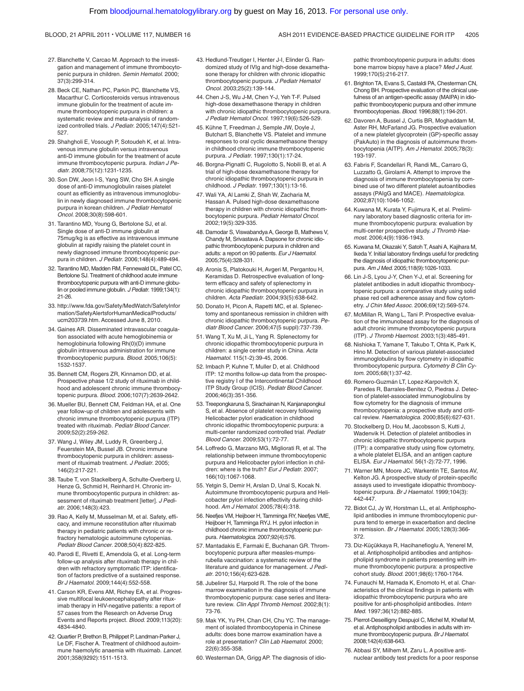## BLOOD, 21 APRIL 2011 · VOLUME 117, NUMBER 16 ASH 2011 EVIDENCE-BASED PRACTICE GUIDELINE FOR ITP 4205

- 27. Blanchette V, Carcao M. Approach to the investigation and management of immune thrombocytopenic purpura in children. *Semin Hematol*. 2000; 37(3):299-314.
- 28. Beck CE, Nathan PC, Parkin PC, Blanchette VS, Macarthur C. Corticosteroids versus intravenous immune globulin for the treatment of acute immune thrombocytopenic purpura in children: a systematic review and meta-analysis of randomized controlled trials. *J Pediatr*. 2005;147(4):521- 527.
- 29. Shahgholi E, Vosough P, Sotoudeh K, et al. Intravenous immune globulin versus intravenous anti-D immune globulin for the treatment of acute immune thrombocytopenic purpura. *Indian J Pediatr*. 2008;75(12):1231-1235.
- 30. Son DW, Jeon I-S, Yang SW, Cho SH. A single dose of anti-D immunoglobulin raises platelet count as efficiently as intravenous immunoglobulin in newly diagnosed immune thrombocytopenic purpura in korean children. *J Pediatr Hematol Oncol*. 2008;30(8):598-601.
- 31. Tarantino MD, Young G, Bertolone SJ, et al. Single dose of anti-D immune globulin at 75mug/kg is as effective as intravenous immune globulin at rapidly raising the platelet count in newly diagnosed immune thrombocytopenic purpura in children. *J Pediatr*. 2006;148(4):489-494.
- 32. Tarantino MD, Madden RM, Fennewald DL, Patel CC, Bertolone SJ. Treatment of childhood acute immune thrombocytopenic purpura with anti-D immune globulin or pooled immune globulin. *J Pediatr*. 1999;134(1): 21-26.
- 33. http://www.fda.gov/Safety/MedWatch/SafetyInfor mation/SafetyAlertsforHumanMedicalProducts/ ucm203739.htm. Accessed June 8, 2010.
- 34. Gaines AR. Disseminated intravascular coagulation associated with acute hemoglobinemia or hemoglobinuria following Rh(0)(D) immune globulin intravenous administration for immune thrombocytopenic purpura. *Blood*. 2005;106(5): 1532-1537.
- 35. Bennett CM, Rogers ZR, Kinnamon DD, et al. Prospective phase 1/2 study of rituximab in childhood and adolescent chronic immune thrombocytopenic purpura. *Blood*. 2006;107(7):2639-2642.
- 36. Mueller BU, Bennett CM, Feldman HA, et al. One year follow-up of children and adolescents with chronic immune thrombocytopenic purpura (ITP) treated with rituximab. *Pediatr Blood Cancer*. 2009;52(2):259-262.
- 37. Wang J, Wiley JM, Luddy R, Greenberg J, Feuerstein MA, Bussel JB. Chronic immune thrombocytopenic purpura in children: assessment of rituximab treatment. *J Pediatr*. 2005; 146(2):217-221.
- 38. Taube T, von Stackelberg A, Schulte-Overberg U, Henze G, Schmid H, Reinhard H. Chronic immune thrombocytopentic purpura in children: assessment of rituximab treatment [letter]. *J Pediatr*. 2006;148(3):423.
- 39. Rao A, Kelly M, Musselman M, et al. Safety, efficacy, and immune reconstitution after rituximab therapy in pediatric patients with chronic or refractory hematologic autoimmune cytopenias. *Pediatr Blood Cancer*. 2008;50(4):822-825.
- 40. Parodi E, Rivetti E, Amendola G, et al. Long-term follow-up analysis after rituximab therapy in children with refractory symptomatic ITP: identification of factors predictive of a sustained response. *Br J Haematol*. 2009;144(4):552-558.
- 41. Carson KR, Evens AM, Richey EA, et al. Progressive multifocal leukoencephalopathy after rituximab therapy in HIV-negative patients: a report of 57 cases from the Research on Adverse Drug Events and Reports project. *Blood*. 2009;113(20): 4834-4840.
- 42. Quartier P, Brethon B, Philippet P, Landman-Parker J, Le DF, Fischer A. Treatment of childhood autoimmune haemolytic anaemia with rituximab. *Lancet*. 2001;358(9292):1511-1513.
- 43. Hedlund-Treutiger I, Henter J-I, Elinder G. Randomized study of IVIg and high-dose dexamethasone therapy for children with chronic idiopathic thrombocytopenic purpura. *J Pediatr Hematol Oncol*. 2003;25(2):139-144.
- 44. Chen J-S, Wu J-M, Chen Y-J, Yeh T-F. Pulsed high-dose dexamethasone therapy in children with chronic idiopathic thrombocytopenic purpura. *J Pediatr Hematol Oncol*. 1997;19(6):526-529.
- 45. Kühne T, Freedman J, Semple JW, Doyle J, Butchart S, Blanchette VS. Platelet and immune responses to oral cyclic dexamethasone therapy in childhood chronic immune thrombocytopenic purpura. *J Pediatr*. 1997;130(1):17-24.
- 46. Borgna-Pignatti C, Rugolotto S, Nobili B, et al. A trial of high-dose dexamethasone therapy for chronic idiopathic thrombocytopenic purpura in childhood. *J Pediatr*. 1997;130(1):13-16.
- 47. Wali YA, Al Lamki Z, Shah W, Zacharia M, Hassan A. Pulsed high-dose dexamethasone therapy in children with chronic idiopathic thrombocytopenic purpura. *Pediatr Hematol Oncol*. 2002;19(5):329-335.
- 48. Damodar S, Viswabandya A, George B, Mathews V, Chandy M, Srivastava A. Dapsone for chronic idiopathic thrombocytopenic purpura in children and adults: a report on 90 patients. *Eur J Haematol*. 2005;75(4):328-331.
- 49. Aronis S, Platokouki H, Avgeri M, Pergantou H, Keramidas D. Retrospective evaluation of longterm efficacy and safety of splenectomy in chronic idiopathic thrombocytopenic purpura in children. *Acta Paediatr*. 2004;93(5):638-642.
- 50. Donato H, Picon A, Rapetti MC, et al. Splenectomy and spontaneous remission in children with chronic idiopathic thrombocytopenic purpura. *Pediatr Blood Cancer*. 2006;47(5 suppl):737-739.
- 51. Wang T, Xu M, Ji L, Yang R. Splenectomy for chronic idiopathic thrombocytopenic purpura in children: a single center study in China. *Acta Haematol*. 115(1-2):39-45, 2006.
- 52. Imbach P, Kuhne T, Muller D, et al. Childhood ITP: 12 months follow-up data from the prospective registry I of the Intercontinental Childhood ITP Study Group (ICIS). *Pediatr Blood Cancer*. 2006;46(3):351-356.
- 53. Treepongkaruna S, Sirachainan N, Kanjanapongkul S, et al. Absence of platelet recovery following Helicobacter pylori eradication in childhood chronic idiopathic thrombocytopenic purpura: a multi-center randomized controlled trial. *Pediatr Blood Cancer*. 2009;53(1):72-77.
- 54. Loffredo G, Marzano MG, Migliorati R, et al. The relationship between immune thrombocytopenic purpura and Helicobacter pylori infection in children: where is the truth? *Eur J Pediatr*. 2007; 166(10):1067-1068.
- 55. Yetgin S, Demir H, Arslan D, Unal S, Kocak N. Autoimmune thrombocytopenic purpura and Helicobacter pylori infection effectivity during childhood. *Am J Hematol*. 2005;78(4):318.
- 56. Neefjes VM, Heijboer H, Tamminga RY, Neefjes VME, Heijboer H, Tamminga RYJ. H. pylori infection in childhood chronic immune thrombocytopenic purpura. *Haematologica*. 2007;92(4):576.
- 57. Mantadakis E, Farmaki E, Buchanan GR. Thrombocytopenic purpura after measles-mumpsrubella vaccination: a systematic review of the literature and guidance for management. *J Pediatr*. 2010;156(4):623-628.
- 58. Jubelirer SJ, Harpold R. The role of the bone marrow examination in the diagnosis of immune thrombocytopenic purpura: case series and literature review. *Clin Appl Thromb Hemost*. 2002;8(1): 73-76.
- 59. Mak YK, Yu PH, Chan CH, Chu YC. The management of isolated thrombocytopenia in Chinese adults: does bone marrow examination have a role at presentation? *Clin Lab Haematol*. 2000; 22(6):355-358.
- 60. Westerman DA, Grigg AP. The diagnosis of idio-

pathic thrombocytopenic purpura in adults: does bone marrow biopsy have a place? *Med J Aust*. 1999;170(5):216-217.

- 61. Brighton TA, Evans S, Castaldi PA, Chesterman CN, Chong BH. Prospective evaluation of the clinical usefulness of an antigen-specific assay (MAIPA) in idiopathic thrombocytopenic purpura and other immune thrombocytopenias. *Blood*. 1996;88(1):194-201.
- 62. Davoren A, Bussel J, Curtis BR, Moghaddam M, Aster RH, McFarland JG. Prospective evaluation of a new platelet glycoprotein (GP)-specific assay (PakAuto) in the diagnosis of autoimmune thrombocytopenia (AITP). *Am J Hematol*. 2005;78(3): 193-197.
- 63. Fabris F, Scandellari R, Randi ML, Carraro G, Luzzatto G, Girolami A. Attempt to improve the diagnosis of immune thrombocytopenia by combined use of two different platelet autoantibodies assays (PAIgG and MACE). *Haematologica*. 2002;87(10):1046-1052.
- 64. Kuwana M, Kurata Y, Fujimura K, et al. Preliminary laboratory based diagnostic criteria for immune thrombocytopenic purpura: evaluation by multi-center prospective study. *J Thromb Haemost*. 2006;4(9):1936-1943.
- 65. Kuwana M, Okazaki Y, Satoh T, Asahi A, Kajihara M, Ikeda Y. Initial laboratory findings useful for predicting the diagnosis of idiopathic thrombocytopenic purpura. *Am J Med*. 2005;118(9):1026-1033.
- 66. Lin J-S, Lyou J-Y, Chen Y-J, et al. Screening for platelet antibodies in adult idiopathic thrombocytopenic purpura: a comparative study using solid phase red cell adherence assay and flow cytometry. *J Chin Med Assoc*. 2006;69(12):569-574.
- 67. McMillan R, Wang L, Tani P. Prospective evaluation of the immunobead assay for the diagnosis of adult chronic immune thrombocytopenic purpura (ITP). *J Thromb Haemost*. 2003;1(3):485-491.
- 68. Nishioka T, Yamane T, Takubo T, Ohta K, Park K, Hino M. Detection of various platelet-associated immunoglobulins by flow cytometry in idiopathic thrombocytopenic purpura. *Cytometry B Clin Cytom*. 2005;68(1):37-42.
- 69. Romero-Guzmán LT, Lopez-Karpovitch X, Paredes R, Barrales-Benitez O, Piedras J. Detection of platelet-associated immunoglobulins by flow cytometry for the diagnosis of immune thrombocytopenia: a prospective study and critical review. *Haematologica*. 2000;85(6):627-631.
- 70. Stockelberg D, Hou M, Jacobsson S, Kutti J, Wadenvik H. Detection of platelet antibodies in chronic idiopathic thrombocytopenic purpura (ITP): a comparative study using flow cytometry, a whole platelet ELISA, and an antigen capture ELISA. *Eur J Haematol*. 56(1-2):72-77, 1996.
- 71. Warner MN, Moore JC, Warkentin TE, Santos AV, Kelton JG. A prospective study of protein-specific assays used to investigate idiopathic thrombocytopenic purpura. *Br J Haematol*. 1999;104(3): 442-447.
- 72. Bidot CJ, Jy W, Horstman LL, et al. Antiphospholipid antibodies in immune thrombocytopenic purpura tend to emerge in exacerbation and decline in remission. *Br J Haematol*. 2005;128(3):366- 372.
- 73. Diz-Küçükkaya R, Hacihanefioglu A, Yenerel M, et al. Antiphospholipid antibodies and antiphospholipid syndrome in patients presenting with immune thrombocytopenic purpura: a prospective cohort study. *Blood*. 2001;98(6):1760-1764.
- 74. Funauchi M, Hamada K, Enomoto H, et al. Characteristics of the clinical findings in patients with idiopathic thrombocytopenic purpura who are positive for anti-phospholipid antibodies. *Intern Med*. 1997;36(12):882-885.
- 75. Pierrot-Deseilligny Despujol C, Michel M, Khellaf M, et al. Antiphospholipid antibodies in adults with immune thrombocytopenic purpura. *Br J Haematol*. 2008;142(4):638-643.
- 76. Abbasi SY, Milhem M, Zaru L. A positive antinuclear antibody test predicts for a poor response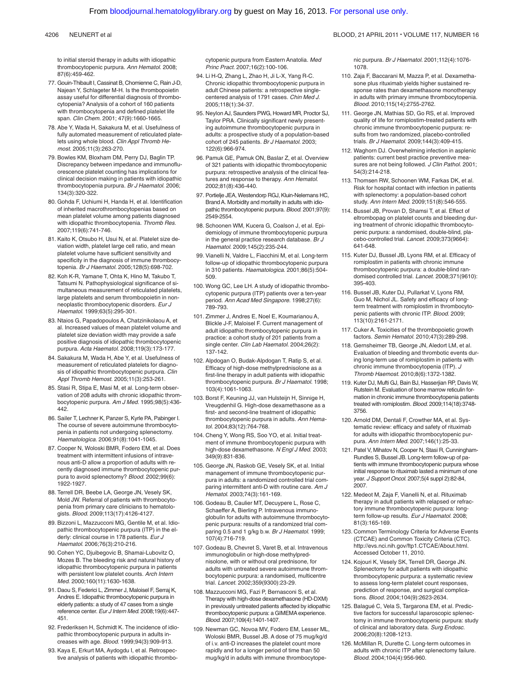#### 4206 NEUNERT et al BLOOD, 21 APRIL 2011 • VOLUME 117, NUMBER 16

to initial steroid therapy in adults with idiopathic thrombocytopenic purpura. *Ann Hematol*. 2008; 87(6):459-462.

- 77. Gouin-Thibault I, Cassinat B, Chomienne C, Rain J-D, Najean Y, Schlageter M-H. Is the thrombopoietin assay useful for differential diagnosis of thrombocytopenia? Analysis of a cohort of 160 patients with thrombocytopenia and defined platelet life span. *Clin Chem*. 2001; 47(9):1660-1665.
- 78. Abe Y, Wada H, Sakakura M, et al. Usefulness of fully automated measurement of reticulated platelets using whole blood. *Clin Appl Thromb Hemost*. 2005;11(3):263-270.
- 79. Bowles KM, Bloxham DM, Perry DJ, Baglin TP. Discrepancy between impedance and immunofluorescence platelet counting has implications for clinical decision making in patients with idiopathic thrombocytopenia purpura. *Br J Haematol*. 2006; 134(3):320-322.
- 80. Gohda F, Uchiumi H, Handa H, et al. Identification of inherited macrothrombocytopenias based on mean platelet volume among patients diagnosed with idiopathic thrombocytopenia. *Thromb Res*. 2007;119(6):741-746.
- 81. Kaito K, Otsubo H, Usui N, et al. Platelet size deviation width, platelet large cell ratio, and mean platelet volume have sufficient sensitivity and specificity in the diagnosis of immune thrombocytopenia. *Br J Haematol*. 2005;128(5):698-702.
- 82. Koh K-R, Yamane T, Ohta K, Hino M, Takubo T, Tatsumi N. Pathophysiological significance of simultaneous measurement of reticulated platelets, large platelets and serum thrombopoietin in nonneoplastic thrombocytopenic disorders. *Eur J Haematol*. 1999;63(5):295-301.
- 83. Ntaios G, Papadopoulos A, Chatzinikolaou A, et al. Increased values of mean platelet volume and platelet size deviation width may provide a safe positive diagnosis of idiopathic thrombocytopenic purpura. *Acta Haematol*. 2008;119(3):173-177.
- 84. Sakakura M, Wada H, Abe Y, et al. Usefulness of measurement of reticulated platelets for diagnosis of idiopathic thrombocytopenic purpura. *Clin Appl Thromb Hemost*. 2005;11(3):253-261.
- 85. Stasi R, Stipa E, Masi M, et al. Long-term observation of 208 adults with chronic idiopathic thrombocytopenic purpura. *Am J Med*. 1995;98(5):436- 442.
- 86. Sailer T, Lechner K, Panzer S, Kyrle PA, Pabinger I. The course of severe autoimmune thrombocytopenia in patients not undergoing splenectomy. *Haematologica*. 2006;91(8):1041-1045.
- 87. Cooper N, Woloski BMR, Fodero EM, et al. Does treatment with intermittent infusions of intravenous anti-D allow a proportion of adults with recently diagnosed immune thrombocytopenic purpura to avoid splenectomy? *Blood*. 2002;99(6): 1922-1927.
- 88. Terrell DR, Beebe LA, George JN, Vesely SK, Mold JW. Referral of patients with thrombocytopenia from primary care clinicians to hematologists. *Blood*. 2009;113(17):4126-4127.
- 89. Bizzoni L, Mazzucconi MG, Gentile M, et al. Idiopathic thrombocytopenic purpura (ITP) in the elderly: clinical course in 178 patients. *Eur J Haematol*. 2006;76(3):210-216.
- 90. Cohen YC, Djuibegovic B, Shamai-Lubovitz O, Mozes B. The bleeding risk and natural history of idiopathic thrombocytopenic purpura in patients with persistent low platelet counts. *Arch Intern Med*. 2000;160(11):1630-1638.
- 91. Daou S, Federici L, Zimmer J, Maloisel F, Serraj K, Andres E. Idiopathic thrombocytopenic purpura in elderly patients: a study of 47 cases from a single reference center. *Eur J Intern Med*. 2008;19(6):447- 451.
- 92. Frederiksen H, Schmidt K. The incidence of idiopathic thrombocytopenic purpura in adults increases with age. *Blood*. 1999;94(3):909-913.
- 93. Kaya E, Erkurt MA, Aydogdu I, et al. Retrospective analysis of patients with idiopathic thrombo-

cytopenic purpura from Eastern Anatolia. *Med Princ Pract*. 2007;16(2):100-106.

- 94. Li H-Q, Zhang L, Zhao H, Ji L-X, Yang R-C. Chronic idiopathic thrombocytopenic purpura in adult Chinese patients: a retrospective singlecentered analysis of 1791 cases. *Chin Med J*. 2005;118(1):34-37.
- 95. Neylon AJ, Saunders PWG, Howard MR, Proctor SJ, Taylor PRA. Clinically significant newly presenting autoimmune thrombocytopenic purpura in adults: a prospective study of a population-based cohort of 245 patients. *Br J Haematol*. 2003; 122(6):966-974.
- 96. Pamuk GE, Pamuk ON, Baslar Z, et al. Overview of 321 patients with idiopathic thrombocytopenic purpura: retrospective analysis of the clinical features and response to therapy. *Ann Hematol*. 2002;81(8):436-440.
- 97. Portielje JEA, Westendorp RGJ, Kluin-Nelemans HC, Brand A. Morbidity and mortality in adults with idiopathic thrombocytopenic purpura. *Blood*. 2001;97(9): 2549-2554.
- 98. Schoonen WM, Kucera G, Coalson J, et al. Epidemiology of immune thrombocytopenic purpura in the general practice research database. *Br J Haematol*. 2009;145(2):235-244.
- 99. Vianelli N, Valdre L, Fiacchini M, et al. Long-term follow-up of idiopathic thrombocytopenic purpura in 310 patients. *Haematologica*. 2001;86(5):504- 509.
- 100. Wong GC, Lee LH. A study of idiopathic thrombocytopenic purpura (ITP) patients over a ten-year period. *Ann Acad Med Singapore*. 1998;27(6): 789-793.
- 101. Zimmer J, Andres E, Noel E, Koumarianou A, Blickle J-F, Maloisel F. Current management of adult idiopathic thrombocytopenic purpura in practice: a cohort study of 201 patients from a single center. *Clin Lab Haematol*. 2004;26(2): 137-142.
- 102. Alpdogan O, Budak-Alpdogan T, Ratip S, et al. Efficacy of high-dose methylprednisolone as a first-line therapy in adult patients with idiopathic thrombocytopenic purpura. *Br J Haematol*. 1998; 103(4):1061-1063.
- 103. Borst F, Keuning JJ, van Hulsteijn H, Sinnige H, Vreugdenhil G. High-dose dexamethasone as a first- and second-line treatment of idiopathic thrombocytopenic purpura in adults. *Ann Hematol*. 2004;83(12):764-768.
- 104. Cheng Y, Wong RS, Soo YO, et al. Initial treatment of immune thrombocytopenic purpura with high-dose dexamethasone. *N Engl J Med*. 2003; 349(9):831-836.
- 105. George JN, Raskob GE, Vesely SK, et al. Initial management of immune thrombocytopenic purpura in adults: a randomized controlled trial comparing intermittent anti-D with routine care. *Am J Hematol*. 2003;74(3):161-169.
- 106. Godeau B, Caulier MT, Decuypere L, Rose C, Schaeffer A, Bierling P. Intravenous immunoglobulin for adults with autoimmune thrombocytopenic purpura: results of a randomized trial comparing 0.5 and 1 g/kg b.w. *Br J Haematol*. 1999; 107(4):716-719.
- 107. Godeau B, Chevret S, Varet B, et al. Intravenous immunoglobulin or high-dose methylprednisolone, with or without oral prednisone, for adults with untreated severe autoimmune thrombocytopenic purpura: a randomised, multicentre trial. *Lancet*. 2002;359(9300):23-29.
- 108. Mazzucconi MG, Fazi P, Bernasconi S, et al. Therapy with high-dose dexamethasone (HD-DXM) in previously untreated patients affected by idiopathic thrombocytopenic purpura: a GIMEMA experience. *Blood*. 2007;109(4):1401-1407.
- 109. Newman GC, Novoa MV, Fodero EM, Lesser ML, Woloski BMR, Bussel JB. A dose of 75 mug/kg/d of i.v. anti-D increases the platelet count more rapidly and for a longer period of time than 50 mug/kg/d in adults with immune thrombocytope-

nic purpura. *Br J Haematol*. 2001;112(4):1076-

110. Zaja F, Baccarani M, Mazza P, et al. Dexamethasone plus rituximab yields higher sustained response rates than dexamethasone monotherapy in adults with primary immune thrombocytopenia. *Blood*. 2010;115(14):2755-2762.

1078.

- 111. George JN, Mathias SD, Go RS, et al. Improved quality of life for romiplostim-treated patients with chronic immune thrombocytopenic purpura: results from two randomized, placebo-controlled trials. *Br J Haematol*. 2009;144(3):409-415.
- 112. Waghorn DJ. Overwhelming infection in asplenic patients: current best practice preventive measures are not being followed. *J Clin Pathol*. 2001; 54(3):214-218.
- 113. Thomsen RW, Schoonen WM, Farkas DK, et al. Risk for hospital contact with infection in patients with splenectomy: a population-based cohort study. *Ann Intern Med*. 2009;151(8):546-555.
- 114. Bussel JB, Provan D, Shamsi T, et al. Effect of eltrombopag on platelet counts and bleeding during treatment of chronic idiopathic thrombocytopenic purpura: a randomised, double-blind, placebo-controlled trial. *Lancet*. 2009;373(9664): 641-648.
- 115. Kuter DJ, Bussel JB, Lyons RM, et al. Efficacy of romiplostim in patients with chronic immune thrombocytopenic purpura: a double-blind randomised controlled trial. *Lancet*. 2008;371(9610): 395-403.
- 116. Bussel JB, Kuter DJ, Pullarkat V, Lyons RM, Guo M, Nichol JL. Safety and efficacy of longterm treatment with romiplostim in thrombocytopenic patients with chronic ITP. *Blood*. 2009; 113(10):2161-2171.
- 117. Cuker A. Toxicities of the thrombopoietic growth factors. *Semin Hematol*. 2010;47(3):289-298.
- 118. Gernsheimer TB, George JN, Aledort LM, et al. Evaluation of bleeding and thrombotic events during long-term use of romiplostim in patients with chronic immune thrombocytopenia (ITP). *J Thromb Haemost*. 2010;8(6):1372-1382.
- 119. Kuter DJ, Mufti GJ, Bain BJ, Hasserjian RP, Davis W, Rutstein M. Evaluation of bone marrow reticulin formation in chronic immune thrombocytopenia patients treated with romiplostim. *Blood*. 2009;114(18):3748- 3756.
- 120. Arnold DM, Dentali F, Crowther MA, et al. Systematic review: efficacy and safety of rituximab for adults with idiopathic thrombocytopenic purpura. *Ann Intern Med*. 2007;146(1):25-33.
- 121. Patel V, Mihatov N, Cooper N, Stasi R, Cunningham-Rundles S, Bussel JB. Long-term follow-up of patients with immune thrombocytopenic purpura whose initial response to rituximab lasted a minimum of one year. *J Support Oncol*. 2007;5(4 suppl 2):82-84, 2007.
- 122. Medeot M, Zaja F, Vianelli N, et al. Rituximab therapy in adult patients with relapsed or refractory immune thrombocytopenic purpura: longterm follow-up results. *Eur J Haematol*. 2008; 81(3):165-169.
- 123. Common Terminology Criteria for Adverse Events (CTCAE) and Common Toxicity Criteria (CTC). http://evs.nci.nih.gov/ftp1.CTCAE/About.html. Accessed October 11, 2010.
- 124. Kojouri K, Vesely SK, Terrell DR, George JN. Splenectomy for adult patients with idiopathic thrombocytopenic purpura: a systematic review to assess long-term platelet count responses, prediction of response, and surgical complications. *Blood*. 2004;104(9):2623-2634.
- 125. Balagué C, Vela S, Targarona EM, et al. Predictive factors for successful laparoscopic splenectomy in immune thrombocytopenic purpura: study of clinical and laboratory data. *Surg Endosc*. 2006;20(8):1208-1213.
- 126. McMillan R, Durette C. Long-term outcomes in adults with chronic ITP after splenectomy failure. *Blood*. 2004;104(4):956-960.